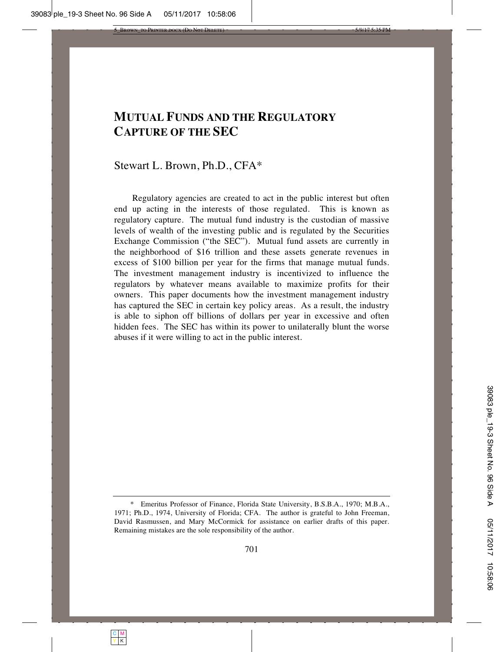C M Y | K

# **MUTUAL FUNDS AND THE REGULATORY CAPTURE OF THE SEC**

# Stewart L. Brown, Ph.D., CFA\*

Regulatory agencies are created to act in the public interest but often end up acting in the interests of those regulated. This is known as regulatory capture. The mutual fund industry is the custodian of massive levels of wealth of the investing public and is regulated by the Securities Exchange Commission ("the SEC"). Mutual fund assets are currently in the neighborhood of \$16 trillion and these assets generate revenues in excess of \$100 billion per year for the firms that manage mutual funds. The investment management industry is incentivized to influence the regulators by whatever means available to maximize profits for their owners. This paper documents how the investment management industry has captured the SEC in certain key policy areas. As a result, the industry is able to siphon off billions of dollars per year in excessive and often hidden fees. The SEC has within its power to unilaterally blunt the worse abuses if it were willing to act in the public interest.

701

 <sup>\*</sup> Emeritus Professor of Finance, Florida State University, B.S.B.A., 1970; M.B.A., 1971; Ph.D., 1974, University of Florida; CFA. The author is grateful to John Freeman, David Rasmussen, and Mary McCormick for assistance on earlier drafts of this paper. Remaining mistakes are the sole responsibility of the author.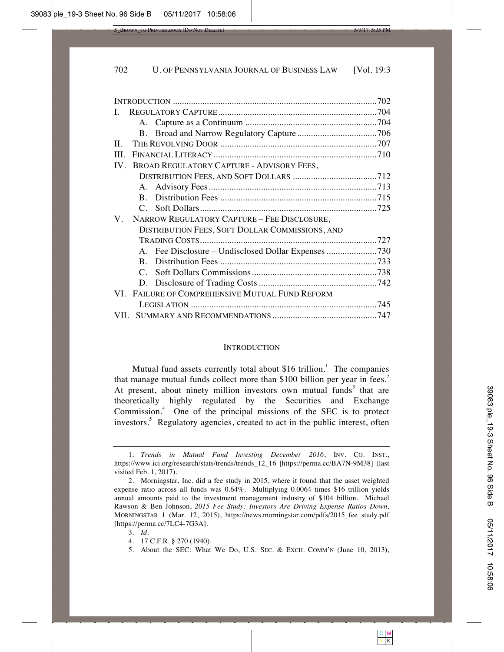# 702 U. OF PENNSYLVANIA JOURNAL OF BUSINESS LAW [Vol. 19:3

| .702                                                   |  |  |  |  |
|--------------------------------------------------------|--|--|--|--|
|                                                        |  |  |  |  |
|                                                        |  |  |  |  |
| <b>B</b> .                                             |  |  |  |  |
| H.                                                     |  |  |  |  |
| Ш                                                      |  |  |  |  |
| BROAD REGULATORY CAPTURE - ADVISORY FEES,<br>IV.       |  |  |  |  |
|                                                        |  |  |  |  |
|                                                        |  |  |  |  |
| $\mathbf{B}$ .                                         |  |  |  |  |
|                                                        |  |  |  |  |
| NARROW REGULATORY CAPTURE - FEE DISCLOSURE,<br>$V_{-}$ |  |  |  |  |
| <b>DISTRIBUTION FEES, SOFT DOLLAR COMMISSIONS, AND</b> |  |  |  |  |
|                                                        |  |  |  |  |
|                                                        |  |  |  |  |
| B.                                                     |  |  |  |  |
| $\mathsf{C}$                                           |  |  |  |  |
|                                                        |  |  |  |  |
| VI. FAILURE OF COMPREHENSIVE MUTUAL FUND REFORM        |  |  |  |  |
|                                                        |  |  |  |  |
|                                                        |  |  |  |  |

## **INTRODUCTION**

Mutual fund assets currently total about \$16 trillion.<sup>1</sup> The companies that manage mutual funds collect more than \$100 billion per year in fees.<sup>2</sup> At present, about ninety million investors own mutual funds<sup>3</sup> that are theoretically highly regulated by the Securities and Exchange Commission.4 One of the principal missions of the SEC is to protect investors.<sup>5</sup> Regulatory agencies, created to act in the public interest, often

 <sup>1.</sup> *Trends in Mutual Fund Investing December 2016*, INV. CO. INST., https://www.ici.org/research/stats/trends/trends\_12\_16 [https://perma.cc/BA7N-9M38] (last visited Feb. 1, 2017).

 <sup>2.</sup> Morningstar, Inc. did a fee study in 2015, where it found that the asset weighted expense ratio across all funds was 0.64%. Multiplying 0.0064 times \$16 trillion yields annual amounts paid to the investment management industry of \$104 billion. Michael Rawson & Ben Johnson, *2015 Fee Study: Investors Are Driving Expense Ratios Down*, MORNINGSTAR 1 (Mar. 12, 2015), https://news.morningstar.com/pdfs/2015\_fee\_study.pdf [https://perma.cc/7LC4-7G3A].

 <sup>3.</sup> *Id.*

 <sup>4. 17</sup> C.F.R. § 270 (1940).

 <sup>5.</sup> About the SEC: What We Do, U.S. SEC.&EXCH. COMM'N (June 10, 2013),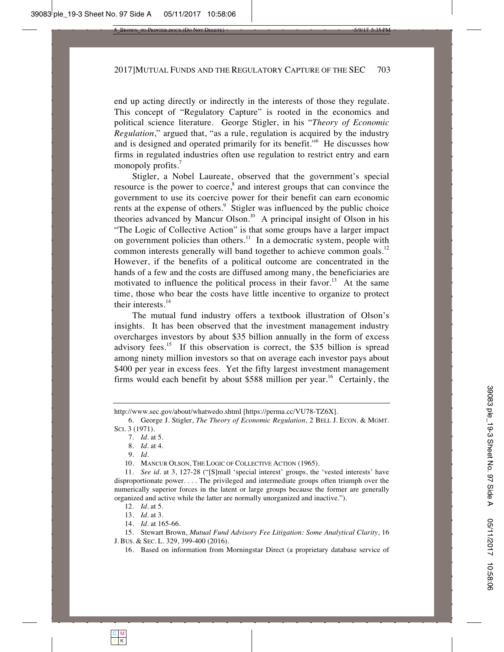# 2017]MUTUAL FUNDS AND THE REGULATORY CAPTURE OF THE SEC 703

end up acting directly or indirectly in the interests of those they regulate. This concept of "Regulatory Capture" is rooted in the economics and political science literature. George Stigler, in his "*Theory of Economic Regulation*," argued that, "as a rule, regulation is acquired by the industry and is designed and operated primarily for its benefit."<sup>6</sup> He discusses how firms in regulated industries often use regulation to restrict entry and earn monopoly profits.<sup>7</sup>

Stigler, a Nobel Laureate, observed that the government's special resource is the power to coerce, $\delta$  and interest groups that can convince the government to use its coercive power for their benefit can earn economic rents at the expense of others.<sup>9</sup> Stigler was influenced by the public choice theories advanced by Mancur Olson.<sup>10</sup> A principal insight of Olson in his "The Logic of Collective Action" is that some groups have a larger impact on government policies than others.<sup>11</sup> In a democratic system, people with common interests generally will band together to achieve common goals.<sup>12</sup> However, if the benefits of a political outcome are concentrated in the hands of a few and the costs are diffused among many, the beneficiaries are motivated to influence the political process in their favor.<sup>13</sup> At the same time, those who bear the costs have little incentive to organize to protect their interests.<sup>14</sup>

The mutual fund industry offers a textbook illustration of Olson's insights. It has been observed that the investment management industry overcharges investors by about \$35 billion annually in the form of excess advisory fees.<sup>15</sup> If this observation is correct, the \$35 billion is spread among ninety million investors so that on average each investor pays about \$400 per year in excess fees. Yet the fifty largest investment management firms would each benefit by about \$588 million per year.<sup>16</sup> Certainly, the

10. MANCUR OLSON, THE LOGIC OF COLLECTIVE ACTION (1965).

14. *Id.* at 165-66.

 15. Stewart Brown, *Mutual Fund Advisory Fee Litigation: Some Analytical Clarity*, 16 J. BUS.&SEC. L. 329, 399-400 (2016).

16. Based on information from Morningstar Direct (a proprietary database service of

http://www.sec.gov/about/whatwedo.shtml [https://perma.cc/VU78-TZ6X].

 <sup>6.</sup> George J. Stigler, *The Theory of Economic Regulation*, 2 BELL J. ECON.&MGMT. SCI. 3 (1971).

 <sup>7.</sup> *Id.* at 5.

 <sup>8.</sup> *Id.* at 4.

 <sup>9.</sup> *Id.*

 <sup>11.</sup> *See id.* at 3, 127-28 ("[S]mall 'special interest' groups, the 'vested interests' have disproportionate power. . . . The privileged and intermediate groups often triumph over the numerically superior forces in the latent or large groups because the former are generally organized and active while the latter are normally unorganized and inactive.").

 <sup>12.</sup> *Id.* at 5.

 <sup>13.</sup> *Id.* at 3.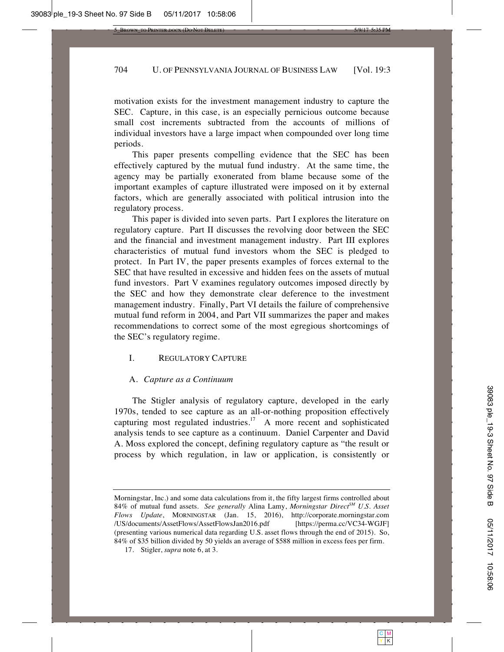# 704 U. OF PENNSYLVANIA JOURNAL OF BUSINESS LAW [Vol. 19:3

motivation exists for the investment management industry to capture the SEC. Capture, in this case, is an especially pernicious outcome because small cost increments subtracted from the accounts of millions of individual investors have a large impact when compounded over long time periods.

This paper presents compelling evidence that the SEC has been effectively captured by the mutual fund industry. At the same time, the agency may be partially exonerated from blame because some of the important examples of capture illustrated were imposed on it by external factors, which are generally associated with political intrusion into the regulatory process.

This paper is divided into seven parts. Part I explores the literature on regulatory capture. Part II discusses the revolving door between the SEC and the financial and investment management industry. Part III explores characteristics of mutual fund investors whom the SEC is pledged to protect. In Part IV, the paper presents examples of forces external to the SEC that have resulted in excessive and hidden fees on the assets of mutual fund investors. Part V examines regulatory outcomes imposed directly by the SEC and how they demonstrate clear deference to the investment management industry. Finally, Part VI details the failure of comprehensive mutual fund reform in 2004, and Part VII summarizes the paper and makes recommendations to correct some of the most egregious shortcomings of the SEC's regulatory regime.

# I. REGULATORY CAPTURE

# A. *Capture as a Continuum*

The Stigler analysis of regulatory capture, developed in the early 1970s, tended to see capture as an all-or-nothing proposition effectively capturing most regulated industries.<sup>17</sup> A more recent and sophisticated analysis tends to see capture as a continuum. Daniel Carpenter and David A. Moss explored the concept, defining regulatory capture as "the result or process by which regulation, in law or application, is consistently or

C M Y | K

Morningstar, Inc.) and some data calculations from it, the fifty largest firms controlled about 84% of mutual fund assets. *See generally* Alina Lamy, *Morningstar DirectSM U.S. Asset Flows Update*, MORNINGSTAR (Jan. 15, 2016), http://corporate.morningstar.com /US/documents/AssetFlows/AssetFlowsJan2016.pdf [https://perma.cc/VC34-WGJF] (presenting various numerical data regarding U.S. asset flows through the end of 2015). So, 84% of \$35 billion divided by 50 yields an average of \$588 million in excess fees per firm.

 <sup>17.</sup> Stigler, *supra* note 6, at 3.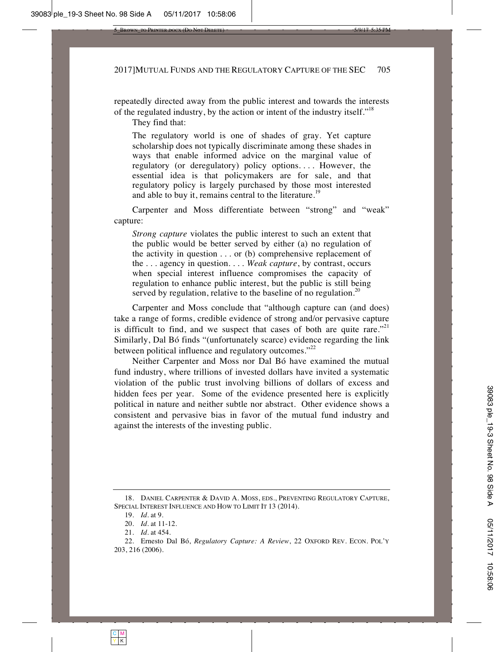repeatedly directed away from the public interest and towards the interests of the regulated industry, by the action or intent of the industry itself."<sup>18</sup>

They find that:

The regulatory world is one of shades of gray. Yet capture scholarship does not typically discriminate among these shades in ways that enable informed advice on the marginal value of regulatory (or deregulatory) policy options. . . . However, the essential idea is that policymakers are for sale, and that regulatory policy is largely purchased by those most interested and able to buy it, remains central to the literature.<sup>19</sup>

Carpenter and Moss differentiate between "strong" and "weak" capture:

*Strong capture* violates the public interest to such an extent that the public would be better served by either (a) no regulation of the activity in question . . . or (b) comprehensive replacement of the . . . agency in question. . . . *Weak capture*, by contrast, occurs when special interest influence compromises the capacity of regulation to enhance public interest, but the public is still being served by regulation, relative to the baseline of no regulation.<sup>20</sup>

Carpenter and Moss conclude that "although capture can (and does) take a range of forms, credible evidence of strong and/or pervasive capture is difficult to find, and we suspect that cases of both are quite rare."<sup>21</sup> Similarly, Dal Bó finds "(unfortunately scarce) evidence regarding the link between political influence and regulatory outcomes."<sup>22</sup>

Neither Carpenter and Moss nor Dal Bó have examined the mutual fund industry, where trillions of invested dollars have invited a systematic violation of the public trust involving billions of dollars of excess and hidden fees per year. Some of the evidence presented here is explicitly political in nature and neither subtle nor abstract. Other evidence shows a consistent and pervasive bias in favor of the mutual fund industry and against the interests of the investing public.

 <sup>18.</sup> DANIEL CARPENTER & DAVID A. MOSS, EDS., PREVENTING REGULATORY CAPTURE, SPECIAL INTEREST INFLUENCE AND HOW TO LIMIT IT 13 (2014).

 <sup>19.</sup> *Id.* at 9.

 <sup>20.</sup> *Id.* at 11-12.

 <sup>21.</sup> *Id.* at 454.

 <sup>22.</sup> Ernesto Dal Bó, *Regulatory Capture: A Review*, 22 OXFORD REV. ECON. POL'Y 203, 216 (2006).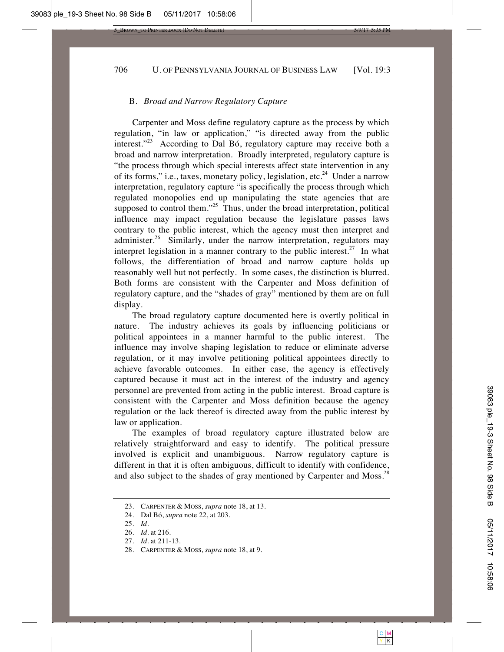# 706 U. OF PENNSYLVANIA JOURNAL OF BUSINESS LAW [Vol. 19:3

# B. *Broad and Narrow Regulatory Capture*

Carpenter and Moss define regulatory capture as the process by which regulation, "in law or application," "is directed away from the public interest."23 According to Dal Bó, regulatory capture may receive both a broad and narrow interpretation. Broadly interpreted, regulatory capture is "the process through which special interests affect state intervention in any of its forms," i.e., taxes, monetary policy, legislation, etc.<sup>24</sup> Under a narrow interpretation, regulatory capture "is specifically the process through which regulated monopolies end up manipulating the state agencies that are supposed to control them."<sup>25</sup> Thus, under the broad interpretation, political influence may impact regulation because the legislature passes laws contrary to the public interest, which the agency must then interpret and administer.<sup>26</sup> Similarly, under the narrow interpretation, regulators may interpret legislation in a manner contrary to the public interest.<sup>27</sup> In what follows, the differentiation of broad and narrow capture holds up reasonably well but not perfectly. In some cases, the distinction is blurred. Both forms are consistent with the Carpenter and Moss definition of regulatory capture, and the "shades of gray" mentioned by them are on full display.

The broad regulatory capture documented here is overtly political in nature. The industry achieves its goals by influencing politicians or political appointees in a manner harmful to the public interest. The influence may involve shaping legislation to reduce or eliminate adverse regulation, or it may involve petitioning political appointees directly to achieve favorable outcomes. In either case, the agency is effectively captured because it must act in the interest of the industry and agency personnel are prevented from acting in the public interest. Broad capture is consistent with the Carpenter and Moss definition because the agency regulation or the lack thereof is directed away from the public interest by law or application.

The examples of broad regulatory capture illustrated below are relatively straightforward and easy to identify. The political pressure involved is explicit and unambiguous. Narrow regulatory capture is different in that it is often ambiguous, difficult to identify with confidence, and also subject to the shades of gray mentioned by Carpenter and Moss.<sup>28</sup>

 <sup>23.</sup> CARPENTER & MOSS, *supra* note 18, at 13.

 <sup>24.</sup> Dal Bó, *supra* note 22, at 203.

 <sup>25.</sup> *Id*.

 <sup>26.</sup> *Id.* at 216.

 <sup>27.</sup> *Id.* at 211-13.

 <sup>28.</sup> CARPENTER & MOSS, *supra* note 18, at 9.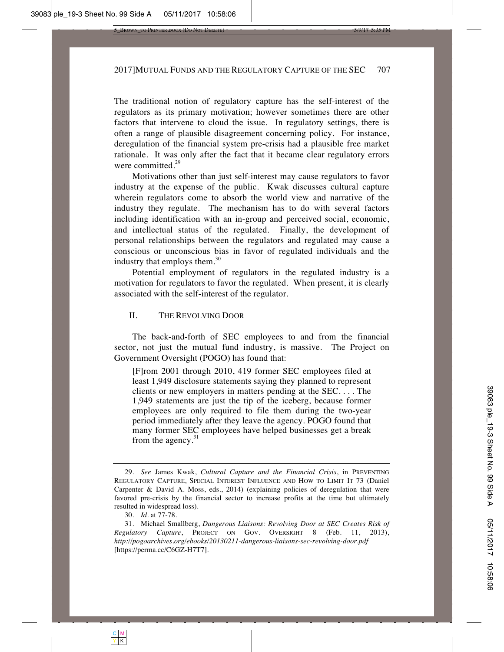# 2017]MUTUAL FUNDS AND THE REGULATORY CAPTURE OF THE SEC 707

The traditional notion of regulatory capture has the self-interest of the regulators as its primary motivation; however sometimes there are other factors that intervene to cloud the issue. In regulatory settings, there is often a range of plausible disagreement concerning policy. For instance, deregulation of the financial system pre-crisis had a plausible free market rationale. It was only after the fact that it became clear regulatory errors were committed.<sup>29</sup>

Motivations other than just self-interest may cause regulators to favor industry at the expense of the public. Kwak discusses cultural capture wherein regulators come to absorb the world view and narrative of the industry they regulate. The mechanism has to do with several factors including identification with an in-group and perceived social, economic, and intellectual status of the regulated. Finally, the development of personal relationships between the regulators and regulated may cause a conscious or unconscious bias in favor of regulated individuals and the industry that employs them. $30$ 

Potential employment of regulators in the regulated industry is a motivation for regulators to favor the regulated. When present, it is clearly associated with the self-interest of the regulator.

## II. THE REVOLVING DOOR

The back-and-forth of SEC employees to and from the financial sector, not just the mutual fund industry, is massive. The Project on Government Oversight (POGO) has found that:

[F]rom 2001 through 2010, 419 former SEC employees filed at least 1,949 disclosure statements saying they planned to represent clients or new employers in matters pending at the SEC. . . . The 1,949 statements are just the tip of the iceberg, because former employees are only required to file them during the two-year period immediately after they leave the agency. POGO found that many former SEC employees have helped businesses get a break from the agency. $\delta$ 



 <sup>29.</sup> *See* James Kwak, *Cultural Capture and the Financial Crisis*, in PREVENTING REGULATORY CAPTURE, SPECIAL INTEREST INFLUENCE AND HOW TO LIMIT IT 73 (Daniel Carpenter & David A. Moss, eds., 2014) (explaining policies of deregulation that were favored pre-crisis by the financial sector to increase profits at the time but ultimately resulted in widespread loss).

 <sup>30.</sup> *Id.* at 77-78.

 <sup>31.</sup> Michael Smallberg, *Dangerous Liaisons: Revolving Door at SEC Creates Risk of Regulatory Capture*, PROJECT ON GOV. OVERSIGHT 8 (Feb. 11, 2013), *http://pogoarchives.org/ebooks/20130211-dangerous-liaisons-sec-revolving-door.pdf* [https://perma.cc/C6GZ-H7T7].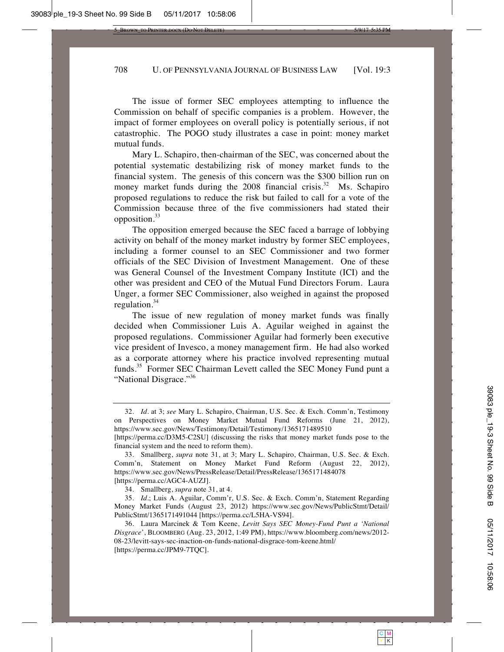# 708 U. OF PENNSYLVANIA JOURNAL OF BUSINESS LAW [Vol. 19:3

The issue of former SEC employees attempting to influence the Commission on behalf of specific companies is a problem. However, the impact of former employees on overall policy is potentially serious, if not catastrophic. The POGO study illustrates a case in point: money market mutual funds.

Mary L. Schapiro, then-chairman of the SEC, was concerned about the potential systematic destabilizing risk of money market funds to the financial system. The genesis of this concern was the \$300 billion run on money market funds during the  $2008$  financial crisis.<sup>32</sup> Ms. Schapiro proposed regulations to reduce the risk but failed to call for a vote of the Commission because three of the five commissioners had stated their opposition.<sup>33</sup>

The opposition emerged because the SEC faced a barrage of lobbying activity on behalf of the money market industry by former SEC employees, including a former counsel to an SEC Commissioner and two former officials of the SEC Division of Investment Management. One of these was General Counsel of the Investment Company Institute (ICI) and the other was president and CEO of the Mutual Fund Directors Forum. Laura Unger, a former SEC Commissioner, also weighed in against the proposed regulation. $34$ 

The issue of new regulation of money market funds was finally decided when Commissioner Luis A. Aguilar weighed in against the proposed regulations. Commissioner Aguilar had formerly been executive vice president of Invesco, a money management firm. He had also worked as a corporate attorney where his practice involved representing mutual funds.<sup>35</sup> Former SEC Chairman Levett called the SEC Money Fund punt a "National Disgrace."<sup>36</sup>

 <sup>32.</sup> *Id.* at 3; *see* Mary L. Schapiro, Chairman, U.S. Sec. & Exch. Comm'n, Testimony on Perspectives on Money Market Mutual Fund Reforms (June 21, 2012), https://www.sec.gov/News/Testimony/Detail/Testimony/1365171489510 [https://perma.cc/D3M5-C2SU] (discussing the risks that money market funds pose to the

financial system and the need to reform them).

 <sup>33.</sup> Smallberg, *supra* note 31, at 3; Mary L. Schapiro, Chairman, U.S. Sec. & Exch. Comm'n, Statement on Money Market Fund Reform (August 22, 2012), https://www.sec.gov/News/PressRelease/Detail/PressRelease/1365171484078 [https://perma.cc/AGC4-AUZJ].

 <sup>34.</sup> Smallberg, *supra* note 31, at 4.

 <sup>35.</sup> *Id.*; Luis A. Aguilar, Comm'r, U.S. Sec. & Exch. Comm'n, Statement Regarding Money Market Funds (August 23, 2012) https://www.sec.gov/News/PublicStmt/Detail/ PublicStmt/1365171491044 [https://perma.cc/L5HA-VS94].

 <sup>36.</sup> Laura Marcinek & Tom Keene, *Levitt Says SEC Money-Fund Punt a 'National Disgrace*', BLOOMBERG (Aug. 23, 2012, 1:49 PM), https://www.bloomberg.com/news/2012- 08-23/levitt-says-sec-inaction-on-funds-national-disgrace-tom-keene.html/ [https://perma.cc/JPM9-7TQC].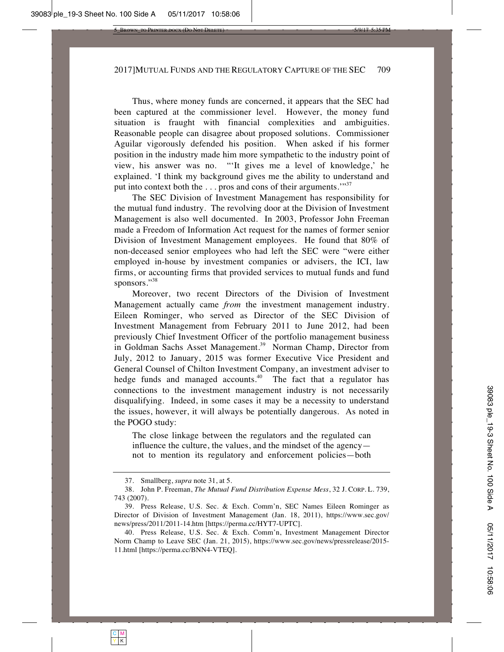## 2017]MUTUAL FUNDS AND THE REGULATORY CAPTURE OF THE SEC 709

Thus, where money funds are concerned, it appears that the SEC had been captured at the commissioner level. However, the money fund situation is fraught with financial complexities and ambiguities. Reasonable people can disagree about proposed solutions. Commissioner Aguilar vigorously defended his position. When asked if his former position in the industry made him more sympathetic to the industry point of view, his answer was no. "'It gives me a level of knowledge,' he explained. 'I think my background gives me the ability to understand and put into context both the  $\dots$  pros and cons of their arguments." $37$ 

The SEC Division of Investment Management has responsibility for the mutual fund industry. The revolving door at the Division of Investment Management is also well documented. In 2003, Professor John Freeman made a Freedom of Information Act request for the names of former senior Division of Investment Management employees. He found that 80% of non-deceased senior employees who had left the SEC were "were either employed in-house by investment companies or advisers, the ICI, law firms, or accounting firms that provided services to mutual funds and fund sponsors."<sup>38</sup>

Moreover, two recent Directors of the Division of Investment Management actually came *from* the investment management industry. Eileen Rominger, who served as Director of the SEC Division of Investment Management from February 2011 to June 2012, had been previously Chief Investment Officer of the portfolio management business in Goldman Sachs Asset Management.<sup>39</sup> Norman Champ, Director from July, 2012 to January, 2015 was former Executive Vice President and General Counsel of Chilton Investment Company, an investment adviser to hedge funds and managed accounts.<sup>40</sup> The fact that a regulator has connections to the investment management industry is not necessarily disqualifying. Indeed, in some cases it may be a necessity to understand the issues, however, it will always be potentially dangerous. As noted in the POGO study:

The close linkage between the regulators and the regulated can influence the culture, the values, and the mindset of the agency not to mention its regulatory and enforcement policies—both

 40. Press Release, U.S. Sec. & Exch. Comm'n, Investment Management Director Norm Champ to Leave SEC (Jan. 21, 2015), https://www.sec.gov/news/pressrelease/2015- 11.html [https://perma.cc/BNN4-VTEQ].



 <sup>37.</sup> Smallberg, *supra* note 31, at 5.

 <sup>38.</sup> John P. Freeman, *The Mutual Fund Distribution Expense Mess*, 32 J. CORP. L. 739, 743 (2007).

 <sup>39.</sup> Press Release, U.S. Sec. & Exch. Comm'n, SEC Names Eileen Rominger as Director of Division of Investment Management (Jan. 18, 2011), https://www.sec.gov/ news/press/2011/2011-14.htm [https://perma.cc/HYT7-UPTC].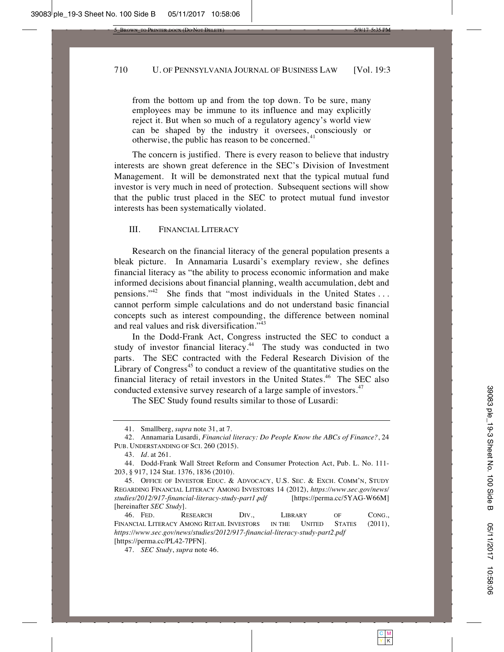# 710 U. OF PENNSYLVANIA JOURNAL OF BUSINESS LAW [Vol. 19:3

from the bottom up and from the top down. To be sure, many employees may be immune to its influence and may explicitly reject it. But when so much of a regulatory agency's world view can be shaped by the industry it oversees, consciously or otherwise, the public has reason to be concerned.<sup>4</sup>

The concern is justified. There is every reason to believe that industry interests are shown great deference in the SEC's Division of Investment Management. It will be demonstrated next that the typical mutual fund investor is very much in need of protection. Subsequent sections will show that the public trust placed in the SEC to protect mutual fund investor interests has been systematically violated.

III. FINANCIAL LITERACY

Research on the financial literacy of the general population presents a bleak picture. In Annamaria Lusardi's exemplary review, she defines financial literacy as "the ability to process economic information and make informed decisions about financial planning, wealth accumulation, debt and pensions." $42$  She finds that "most individuals in the United States ... cannot perform simple calculations and do not understand basic financial concepts such as interest compounding, the difference between nominal and real values and risk diversification."<sup>43</sup>

In the Dodd-Frank Act, Congress instructed the SEC to conduct a study of investor financial literacy.<sup>44</sup> The study was conducted in two parts. The SEC contracted with the Federal Research Division of the Library of Congress<sup> $45$ </sup> to conduct a review of the quantitative studies on the financial literacy of retail investors in the United States.<sup>46</sup> The SEC also conducted extensive survey research of a large sample of investors.<sup>47</sup>

The SEC Study found results similar to those of Lusardi:

43. *Id.* at 261.

 46. FED. RESEARCH DIV., LIBRARY OF CONG., FINANCIAL LITERACY AMONG RETAIL INVESTORS IN THE UNITED STATES (2011), *https://www.sec.gov/news/studies/2012/917-financial-literacy-study-part2.pdf* [https://perma.cc/PL42-7PFN]*.*

 <sup>41.</sup> Smallberg, *supra* note 31, at 7.

 <sup>42.</sup> Annamaria Lusardi, *Financial literacy: Do People Know the ABCs of Finance?*, 24 PUB. UNDERSTANDING OF SCI. 260 (2015).

 <sup>44.</sup> Dodd-Frank Wall Street Reform and Consumer Protection Act, Pub. L. No. 111- 203, § 917, 124 Stat. 1376, 1836 (2010).

<sup>45.</sup> OFFICE OF INVESTOR EDUC. & ADVOCACY, U.S. SEC. & EXCH. COMM'N, STUDY REGARDING FINANCIAL LITERACY AMONG INVESTORS 14 (2012), *https://www.sec.gov/news/ studies/2012/917-financial-literacy-study-part1.pdf* [https://perma.cc/5YAG-W66M] [hereinafter *SEC Study*].

 <sup>47.</sup> *SEC Study*, *supra* note 46.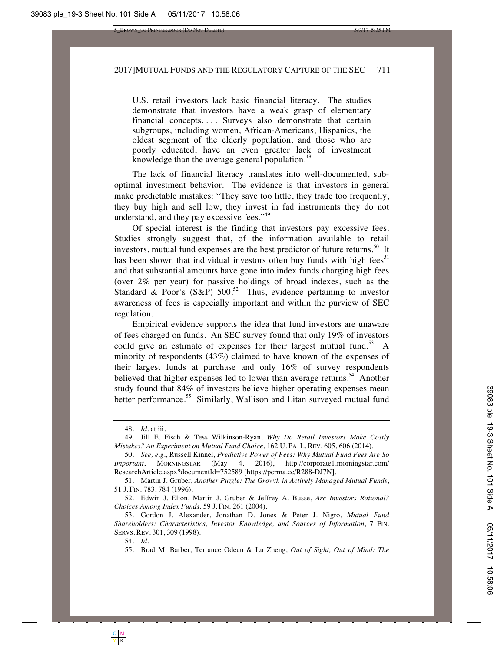# 2017]MUTUAL FUNDS AND THE REGULATORY CAPTURE OF THE SEC 711

U.S. retail investors lack basic financial literacy. The studies demonstrate that investors have a weak grasp of elementary financial concepts.... Surveys also demonstrate that certain subgroups, including women, African-Americans, Hispanics, the oldest segment of the elderly population, and those who are poorly educated, have an even greater lack of investment knowledge than the average general population.<sup>48</sup>

The lack of financial literacy translates into well-documented, suboptimal investment behavior. The evidence is that investors in general make predictable mistakes: "They save too little, they trade too frequently, they buy high and sell low, they invest in fad instruments they do not understand, and they pay excessive fees."<sup>49</sup>

Of special interest is the finding that investors pay excessive fees. Studies strongly suggest that, of the information available to retail investors, mutual fund expenses are the best predictor of future returns. $50$  It has been shown that individual investors often buy funds with high fees<sup>51</sup> and that substantial amounts have gone into index funds charging high fees (over 2% per year) for passive holdings of broad indexes, such as the Standard & Poor's  $(S\&P)$  500.<sup>52</sup> Thus, evidence pertaining to investor awareness of fees is especially important and within the purview of SEC regulation.

Empirical evidence supports the idea that fund investors are unaware of fees charged on funds. An SEC survey found that only 19% of investors could give an estimate of expenses for their largest mutual fund.<sup>53</sup> A minority of respondents (43%) claimed to have known of the expenses of their largest funds at purchase and only 16% of survey respondents believed that higher expenses led to lower than average returns.<sup>54</sup> Another study found that 84% of investors believe higher operating expenses mean better performance.<sup>55</sup> Similarly, Wallison and Litan surveyed mutual fund

 <sup>48.</sup> *Id.* at iii.

 <sup>49.</sup> Jill E. Fisch & Tess Wilkinson-Ryan, *Why Do Retail Investors Make Costly Mistakes? An Experiment on Mutual Fund Choice*, 162 U. PA. L. REV. 605, 606 (2014).

 <sup>50.</sup> *See, e.g.*, Russell Kinnel, *Predictive Power of Fees: Why Mutual Fund Fees Are So Important*, MORNINGSTAR (May 4, 2016), http://corporate1.morningstar.com/ ResearchArticle.aspx?documentId=752589 [https://perma.cc/R288-DJ7N].

 <sup>51.</sup> Martin J. Gruber, *Another Puzzle: The Growth in Actively Managed Mutual Funds*, 51 J. FIN. 783, 784 (1996).

 <sup>52.</sup> Edwin J. Elton, Martin J. Gruber & Jeffrey A. Busse, *Are Investors Rational? Choices Among Index Funds,* 59 J. FIN. 261 (2004).

 <sup>53.</sup> Gordon J. Alexander, Jonathan D. Jones & Peter J. Nigro, *Mutual Fund Shareholders: Characteristics, Investor Knowledge, and Sources of Information*, 7 FIN. SERVS. REV. 301, 309 (1998). 54. *Id.*

 <sup>55.</sup> Brad M. Barber, Terrance Odean & Lu Zheng, *Out of Sight, Out of Mind: The*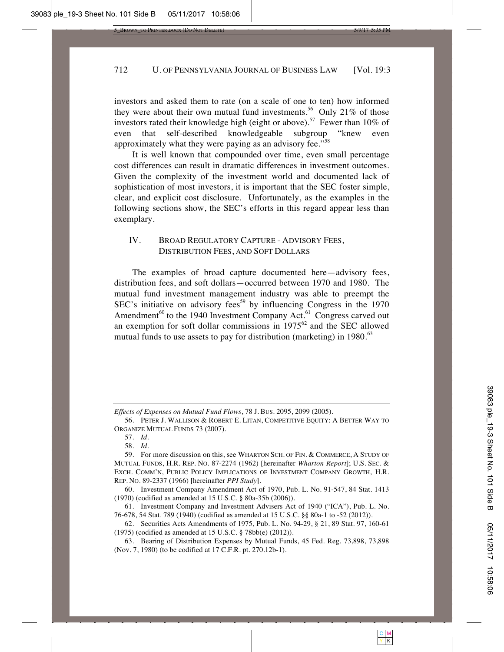# 712 U. OF PENNSYLVANIA JOURNAL OF BUSINESS LAW [Vol. 19:3

investors and asked them to rate (on a scale of one to ten) how informed they were about their own mutual fund investments.<sup>56</sup> Only 21% of those investors rated their knowledge high (eight or above).<sup>57</sup> Fewer than 10% of even that self-described knowledgeable subgroup "knew even approximately what they were paying as an advisory fee."<sup>58</sup>

It is well known that compounded over time, even small percentage cost differences can result in dramatic differences in investment outcomes. Given the complexity of the investment world and documented lack of sophistication of most investors, it is important that the SEC foster simple, clear, and explicit cost disclosure. Unfortunately, as the examples in the following sections show, the SEC's efforts in this regard appear less than exemplary.

# IV. BROAD REGULATORY CAPTURE - ADVISORY FEES, DISTRIBUTION FEES, AND SOFT DOLLARS

The examples of broad capture documented here—advisory fees, distribution fees, and soft dollars—occurred between 1970 and 1980. The mutual fund investment management industry was able to preempt the SEC's initiative on advisory fees<sup>59</sup> by influencing Congress in the 1970 Amendment<sup>60</sup> to the 1940 Investment Company Act.<sup>61</sup> Congress carved out an exemption for soft dollar commissions in  $1975^{62}$  and the SEC allowed mutual funds to use assets to pay for distribution (marketing) in 1980.<sup>63</sup>

*Effects of Expenses on Mutual Fund Flows*, 78 J. BUS. 2095, 2099 (2005).

<sup>56.</sup> PETER J. WALLISON & ROBERT E. LITAN, COMPETITIVE EQUITY: A BETTER WAY TO ORGANIZE MUTUAL FUNDS 73 (2007).

 <sup>57.</sup> *Id.*

 <sup>58.</sup> *Id.*

 <sup>59.</sup> For more discussion on this, see WHARTON SCH. OF FIN.&COMMERCE,ASTUDY OF MUTUAL FUNDS, H.R. REP. NO. 87-2274 (1962) [hereinafter *Wharton Report*]; U.S. SEC. & EXCH. COMM'N, PUBLIC POLICY IMPLICATIONS OF INVESTMENT COMPANY GROWTH, H.R. REP. NO. 89-2337 (1966) [hereinafter *PPI Study*].

 <sup>60.</sup> Investment Company Amendment Act of 1970, Pub. L. No. 91-547, 84 Stat. 1413 (1970) (codified as amended at 15 U.S.C. § 80a-35b (2006)).

 <sup>61.</sup> Investment Company and Investment Advisers Act of 1940 ("ICA"), Pub. L. No. 76-678, 54 Stat. 789 (1940) (codified as amended at 15 U.S.C. §§ 80a-1 to -52 (2012)).

 <sup>62.</sup> Securities Acts Amendments of 1975, Pub. L. No. 94-29, § 21, 89 Stat. 97, 160-61 (1975) (codified as amended at 15 U.S.C. § 78bb(e) (2012)).

 <sup>63.</sup> Bearing of Distribution Expenses by Mutual Funds, 45 Fed. Reg. 73,898, 73,898 (Nov. 7, 1980) (to be codified at 17 C.F.R. pt. 270.12b-1).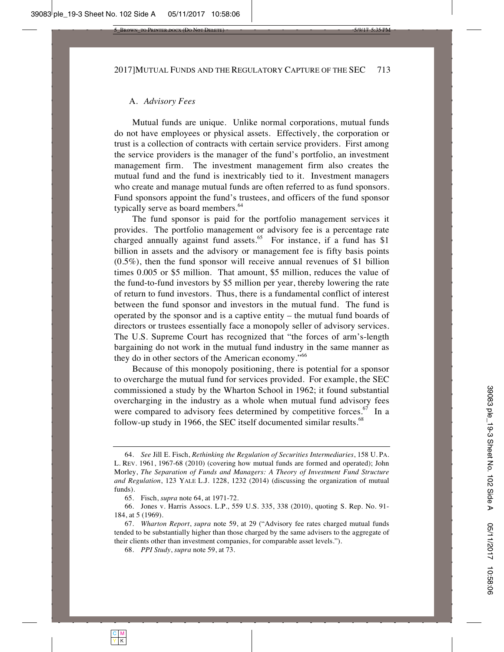2017]MUTUAL FUNDS AND THE REGULATORY CAPTURE OF THE SEC 713

# A. *Advisory Fees*

Mutual funds are unique. Unlike normal corporations, mutual funds do not have employees or physical assets. Effectively, the corporation or trust is a collection of contracts with certain service providers. First among the service providers is the manager of the fund's portfolio, an investment management firm. The investment management firm also creates the mutual fund and the fund is inextricably tied to it. Investment managers who create and manage mutual funds are often referred to as fund sponsors. Fund sponsors appoint the fund's trustees, and officers of the fund sponsor typically serve as board members.<sup>64</sup>

The fund sponsor is paid for the portfolio management services it provides. The portfolio management or advisory fee is a percentage rate charged annually against fund assets.<sup>65</sup> For instance, if a fund has \$1 billion in assets and the advisory or management fee is fifty basis points (0.5%), then the fund sponsor will receive annual revenues of \$1 billion times 0.005 or \$5 million. That amount, \$5 million, reduces the value of the fund-to-fund investors by \$5 million per year, thereby lowering the rate of return to fund investors. Thus, there is a fundamental conflict of interest between the fund sponsor and investors in the mutual fund. The fund is operated by the sponsor and is a captive entity – the mutual fund boards of directors or trustees essentially face a monopoly seller of advisory services. The U.S. Supreme Court has recognized that "the forces of arm's-length bargaining do not work in the mutual fund industry in the same manner as they do in other sectors of the American economy."<sup>66</sup>

Because of this monopoly positioning, there is potential for a sponsor to overcharge the mutual fund for services provided. For example, the SEC commissioned a study by the Wharton School in 1962; it found substantial overcharging in the industry as a whole when mutual fund advisory fees were compared to advisory fees determined by competitive forces.<sup>67</sup> In a follow-up study in 1966, the SEC itself documented similar results. $68$ 



 <sup>64.</sup> *See* Jill E. Fisch, *Rethinking the Regulation of Securities Intermediaries*, 158 U. PA. L. REV. 1961, 1967-68 (2010) (covering how mutual funds are formed and operated); John Morley, *The Separation of Funds and Managers: A Theory of Investment Fund Structure and Regulation*, 123 YALE L.J. 1228, 1232 (2014) (discussing the organization of mutual funds).

 <sup>65.</sup> Fisch, *supra* note 64, at 1971-72.

 <sup>66.</sup> Jones v. Harris Assocs. L.P., 559 U.S. 335, 338 (2010), quoting S. Rep. No. 91- 184, at 5 (1969).

 <sup>67.</sup> *Wharton Report*, *supra* note 59, at 29 ("Advisory fee rates charged mutual funds tended to be substantially higher than those charged by the same advisers to the aggregate of their clients other than investment companies, for comparable asset levels.").

 <sup>68.</sup> *PPI Study*, *supra* note 59, at 73.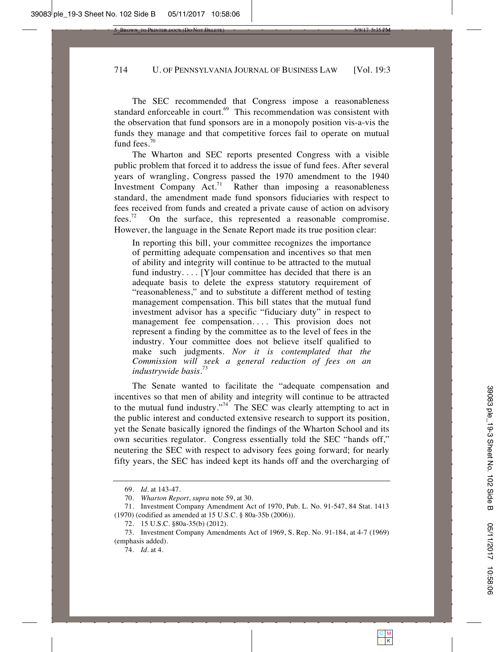# 714 U. OF PENNSYLVANIA JOURNAL OF BUSINESS LAW [Vol. 19:3

The SEC recommended that Congress impose a reasonableness standard enforceable in court.<sup>69</sup> This recommendation was consistent with the observation that fund sponsors are in a monopoly position vis-a-vis the funds they manage and that competitive forces fail to operate on mutual fund fees. $10$ 

The Wharton and SEC reports presented Congress with a visible public problem that forced it to address the issue of fund fees. After several years of wrangling, Congress passed the 1970 amendment to the 1940 Investment Company  $Act.^{71}$  Rather than imposing a reasonableness standard, the amendment made fund sponsors fiduciaries with respect to fees received from funds and created a private cause of action on advisory fees.<sup>72</sup> On the surface, this represented a reasonable compromise. However, the language in the Senate Report made its true position clear:

In reporting this bill, your committee recognizes the importance of permitting adequate compensation and incentives so that men of ability and integrity will continue to be attracted to the mutual fund industry.... [Y]our committee has decided that there is an adequate basis to delete the express statutory requirement of "reasonableness," and to substitute a different method of testing management compensation. This bill states that the mutual fund investment advisor has a specific "fiduciary duty" in respect to management fee compensation.... This provision does not represent a finding by the committee as to the level of fees in the industry. Your committee does not believe itself qualified to make such judgments. *Nor it is contemplated that the Commission will seek a general reduction of fees on an industrywide basis.*<sup>7</sup>

The Senate wanted to facilitate the "adequate compensation and incentives so that men of ability and integrity will continue to be attracted to the mutual fund industry."74 The SEC was clearly attempting to act in the public interest and conducted extensive research to support its position, yet the Senate basically ignored the findings of the Wharton School and its own securities regulator. Congress essentially told the SEC "hands off," neutering the SEC with respect to advisory fees going forward; for nearly fifty years, the SEC has indeed kept its hands off and the overcharging of

 <sup>69.</sup> *Id.* at 143-47.

 <sup>70.</sup> *Wharton Report*, *supra* note 59, at 30.

 <sup>71.</sup> Investment Company Amendment Act of 1970, Pub. L. No. 91-547, 84 Stat. 1413 (1970) (codified as amended at 15 U.S.C. § 80a-35b (2006)).

 <sup>72. 15</sup> U.S.C. §80a-35(b) (2012).

 <sup>73.</sup> Investment Company Amendments Act of 1969, S. Rep. No. 91-184, at 4-7 (1969) (emphasis added).

 <sup>74.</sup> *Id.* at 4.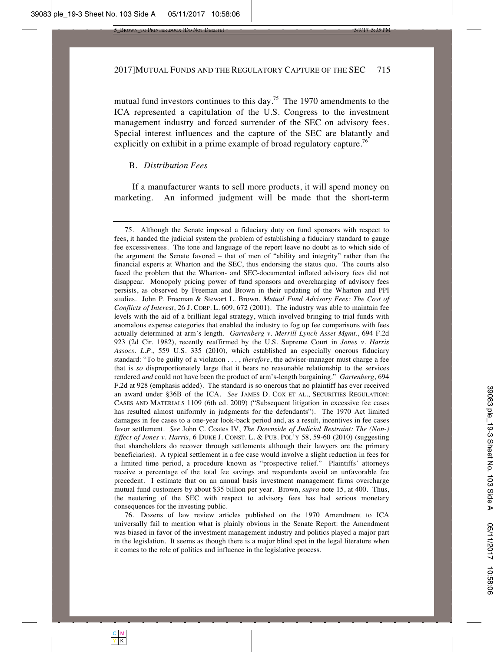C M Y | K

mutual fund investors continues to this day.<sup>75</sup> The 1970 amendments to the ICA represented a capitulation of the U.S. Congress to the investment management industry and forced surrender of the SEC on advisory fees. Special interest influences and the capture of the SEC are blatantly and explicitly on exhibit in a prime example of broad regulatory capture.<sup>76</sup>

## B. *Distribution Fees*

If a manufacturer wants to sell more products, it will spend money on marketing. An informed judgment will be made that the short-term

 76. Dozens of law review articles published on the 1970 Amendment to ICA universally fail to mention what is plainly obvious in the Senate Report: the Amendment was biased in favor of the investment management industry and politics played a major part in the legislation. It seems as though there is a major blind spot in the legal literature when it comes to the role of politics and influence in the legislative process.

 <sup>75.</sup> Although the Senate imposed a fiduciary duty on fund sponsors with respect to fees, it handed the judicial system the problem of establishing a fiduciary standard to gauge fee excessiveness. The tone and language of the report leave no doubt as to which side of the argument the Senate favored – that of men of "ability and integrity" rather than the financial experts at Wharton and the SEC, thus endorsing the status quo. The courts also faced the problem that the Wharton- and SEC-documented inflated advisory fees did not disappear. Monopoly pricing power of fund sponsors and overcharging of advisory fees persists, as observed by Freeman and Brown in their updating of the Wharton and PPI studies. John P. Freeman & Stewart L. Brown, *Mutual Fund Advisory Fees: The Cost of Conflicts of Interest*, 26 J. CORP. L. 609, 672 (2001). The industry was able to maintain fee levels with the aid of a brilliant legal strategy, which involved bringing to trial funds with anomalous expense categories that enabled the industry to fog up fee comparisons with fees actually determined at arm's length. *Gartenberg v. Merrill Lynch Asset Mgmt*., 694 F.2d 923 (2d Cir. 1982), recently reaffirmed by the U.S. Supreme Court in *Jones v. Harris Assocs. L.P.*, 559 U.S. 335 (2010), which established an especially onerous fiduciary standard: "To be guilty of a violation . . . , *therefore*, the adviser-manager must charge a fee that is *so* disproportionately large that it bears no reasonable relationship to the services rendered *and* could not have been the product of arm's-length bargaining." *Gartenberg*, 694 F.2d at 928 (emphasis added). The standard is so onerous that no plaintiff has ever received an award under §36B of the ICA. *See* JAMES D. COX ET AL., SECURITIES REGULATION: CASES AND MATERIALS 1109 (6th ed. 2009) ("Subsequent litigation in excessive fee cases has resulted almost uniformly in judgments for the defendants"). The 1970 Act limited damages in fee cases to a one-year look-back period and, as a result, incentives in fee cases favor settlement. *See* John C. Coates IV, *The Downside of Judicial Restraint: The (Non-) Effect of Jones v. Harris*, 6 DUKE J. CONST. L. & PUB. POL'Y 58, 59-60 (2010) (suggesting that shareholders do recover through settlements although their lawyers are the primary beneficiaries). A typical settlement in a fee case would involve a slight reduction in fees for a limited time period, a procedure known as "prospective relief." Plaintiffs' attorneys receive a percentage of the total fee savings and respondents avoid an unfavorable fee precedent. I estimate that on an annual basis investment management firms overcharge mutual fund customers by about \$35 billion per year. Brown, *supra* note 15, at 400. Thus, the neutering of the SEC with respect to advisory fees has had serious monetary consequences for the investing public.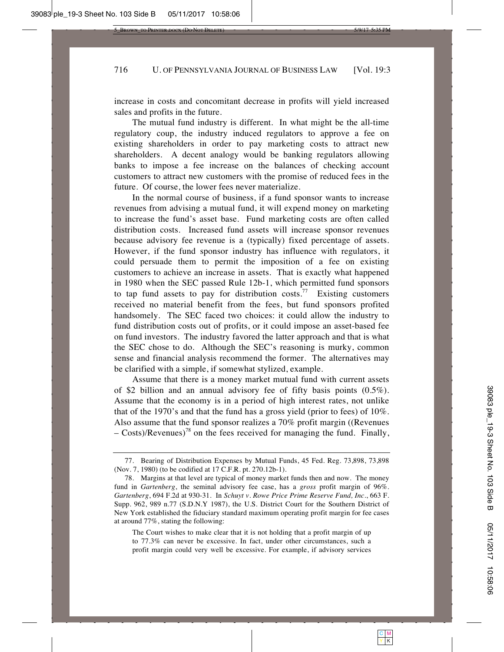# 716 U. OF PENNSYLVANIA JOURNAL OF BUSINESS LAW [Vol. 19:3

increase in costs and concomitant decrease in profits will yield increased sales and profits in the future.

The mutual fund industry is different. In what might be the all-time regulatory coup, the industry induced regulators to approve a fee on existing shareholders in order to pay marketing costs to attract new shareholders. A decent analogy would be banking regulators allowing banks to impose a fee increase on the balances of checking account customers to attract new customers with the promise of reduced fees in the future. Of course, the lower fees never materialize.

In the normal course of business, if a fund sponsor wants to increase revenues from advising a mutual fund, it will expend money on marketing to increase the fund's asset base. Fund marketing costs are often called distribution costs. Increased fund assets will increase sponsor revenues because advisory fee revenue is a (typically) fixed percentage of assets. However, if the fund sponsor industry has influence with regulators, it could persuade them to permit the imposition of a fee on existing customers to achieve an increase in assets. That is exactly what happened in 1980 when the SEC passed Rule 12b-1, which permitted fund sponsors to tap fund assets to pay for distribution costs.<sup>77</sup> Existing customers received no material benefit from the fees, but fund sponsors profited handsomely. The SEC faced two choices: it could allow the industry to fund distribution costs out of profits, or it could impose an asset-based fee on fund investors. The industry favored the latter approach and that is what the SEC chose to do. Although the SEC's reasoning is murky, common sense and financial analysis recommend the former. The alternatives may be clarified with a simple, if somewhat stylized, example.

Assume that there is a money market mutual fund with current assets of \$2 billion and an annual advisory fee of fifty basis points (0.5%). Assume that the economy is in a period of high interest rates, not unlike that of the 1970's and that the fund has a gross yield (prior to fees) of 10%. Also assume that the fund sponsor realizes a 70% profit margin ((Revenues  $-$  Costs)/Revenues)<sup>78</sup> on the fees received for managing the fund. Finally,

The Court wishes to make clear that it is not holding that a profit margin of up to 77.3% can never be excessive. In fact, under other circumstances, such a profit margin could very well be excessive. For example, if advisory services

 <sup>77.</sup> Bearing of Distribution Expenses by Mutual Funds, 45 Fed. Reg. 73,898, 73,898 (Nov. 7, 1980) (to be codified at 17 C.F.R. pt. 270.12b-1).

 <sup>78.</sup> Margins at that level are typical of money market funds then and now. The money fund in *Gartenberg*, the seminal advisory fee case, has a *gross* profit margin of 96%. *Gartenberg*, 694 F.2d at 930-31. In *Schuyt v. Rowe Price Prime Reserve Fund, Inc.*, 663 F. Supp. 962, 989 n.77 (S.D.N.Y 1987), the U.S. District Court for the Southern District of New York established the fiduciary standard maximum operating profit margin for fee cases at around 77%, stating the following: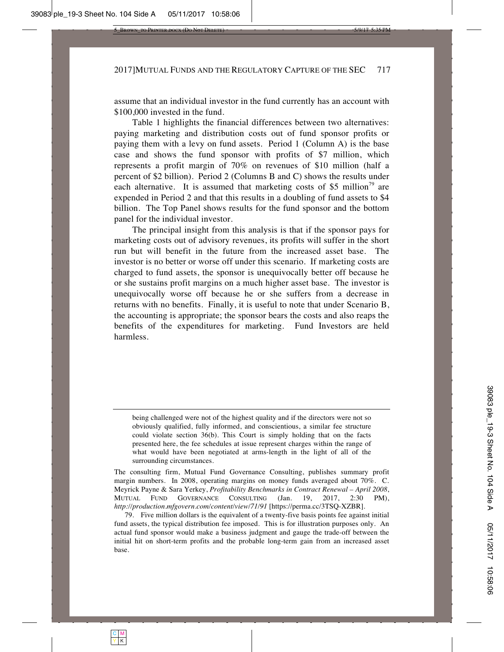# 2017]MUTUAL FUNDS AND THE REGULATORY CAPTURE OF THE SEC 717

assume that an individual investor in the fund currently has an account with \$100,000 invested in the fund.

Table 1 highlights the financial differences between two alternatives: paying marketing and distribution costs out of fund sponsor profits or paying them with a levy on fund assets. Period 1 (Column A) is the base case and shows the fund sponsor with profits of \$7 million, which represents a profit margin of 70% on revenues of \$10 million (half a percent of \$2 billion). Period 2 (Columns B and C) shows the results under each alternative. It is assumed that marketing costs of \$5 million<sup>79</sup> are expended in Period 2 and that this results in a doubling of fund assets to \$4 billion. The Top Panel shows results for the fund sponsor and the bottom panel for the individual investor.

The principal insight from this analysis is that if the sponsor pays for marketing costs out of advisory revenues, its profits will suffer in the short run but will benefit in the future from the increased asset base. The investor is no better or worse off under this scenario. If marketing costs are charged to fund assets, the sponsor is unequivocally better off because he or she sustains profit margins on a much higher asset base. The investor is unequivocally worse off because he or she suffers from a decrease in returns with no benefits. Finally, it is useful to note that under Scenario B, the accounting is appropriate; the sponsor bears the costs and also reaps the benefits of the expenditures for marketing. Fund Investors are held harmless.

being challenged were not of the highest quality and if the directors were not so obviously qualified, fully informed, and conscientious, a similar fee structure could violate section 36(b). This Court is simply holding that on the facts presented here, the fee schedules at issue represent charges within the range of what would have been negotiated at arms-length in the light of all of the surrounding circumstances.

The consulting firm, Mutual Fund Governance Consulting, publishes summary profit margin numbers. In 2008, operating margins on money funds averaged about 70%. C. Meyrick Payne & Sara Yerkey, *Profitability Benchmarks in Contract Renewal – April 2008*, MUTUAL FUND GOVERNANCE CONSULTING (Jan. 19, 2017, 2:30 PM), *http://production.mfgovern.com/content/view/71/91* [https://perma.cc/3TSQ-XZBR].

 <sup>79.</sup> Five million dollars is the equivalent of a twenty-five basis points fee against initial fund assets, the typical distribution fee imposed. This is for illustration purposes only. An actual fund sponsor would make a business judgment and gauge the trade-off between the initial hit on short-term profits and the probable long-term gain from an increased asset base.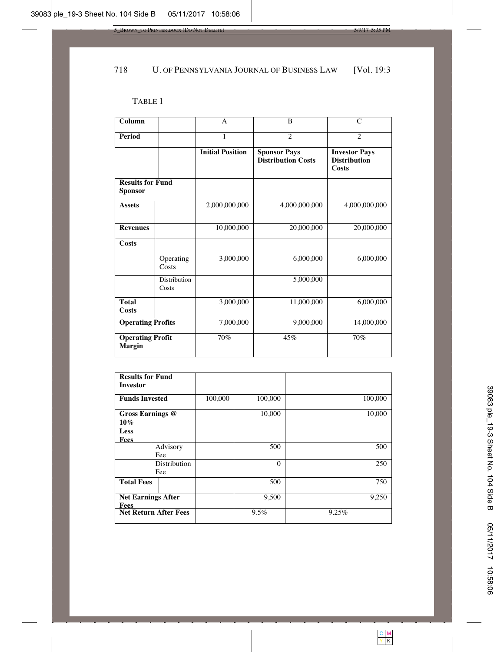# 718 U. OF PENNSYLVANIA JOURNAL OF BUSINESS LAW [Vol. 19:3

# TABLE 1

| $\overline{\mathbf{C}}$ olumn             |                       | $\mathsf{A}$            | B                                                | $\mathcal{C}$                                        |
|-------------------------------------------|-----------------------|-------------------------|--------------------------------------------------|------------------------------------------------------|
| Period                                    |                       | 1                       | $\overline{2}$                                   | $\overline{2}$                                       |
|                                           |                       | <b>Initial Position</b> | <b>Sponsor Pays</b><br><b>Distribution Costs</b> | <b>Investor Pays</b><br><b>Distribution</b><br>Costs |
| <b>Results for Fund</b><br><b>Sponsor</b> |                       |                         |                                                  |                                                      |
| <b>Assets</b>                             |                       | 2,000,000,000           | 4,000,000,000                                    | 4,000,000,000                                        |
| <b>Revenues</b>                           |                       | 10,000,000              | 20,000,000                                       | 20,000,000                                           |
| <b>Costs</b>                              |                       |                         |                                                  |                                                      |
|                                           | Operating<br>Costs    | 3,000,000               | 6,000,000                                        | 6,000,000                                            |
|                                           | Distribution<br>Costs |                         | 5,000,000                                        |                                                      |
| <b>Total</b><br>Costs                     |                       | 3,000,000               | 11,000,000                                       | 6,000,000                                            |
| <b>Operating Profits</b>                  |                       | 7,000,000               | 9,000,000                                        | 14,000,000                                           |
| <b>Operating Profit</b><br><b>Margin</b>  |                       | 70%                     | 45%                                              | 70%                                                  |

| <b>Results for Fund</b><br>Investor |                     |         |          |         |
|-------------------------------------|---------------------|---------|----------|---------|
| <b>Funds Invested</b>               |                     | 100,000 | 100,000  | 100,000 |
| Gross Earnings @<br>10%             |                     |         | 10,000   | 10,000  |
| <b>Less</b><br>Fees                 |                     |         |          |         |
|                                     | Advisory<br>Fee     |         | 500      | 500     |
|                                     | Distribution<br>Fee |         | $\theta$ | 250     |
| <b>Total Fees</b>                   |                     |         | 500      | 750     |
| <b>Net Earnings After</b><br>Fees   |                     |         | 9,500    | 9,250   |
| <b>Net Return After Fees</b>        |                     |         | 9.5%     | 9.25%   |

C M Y | K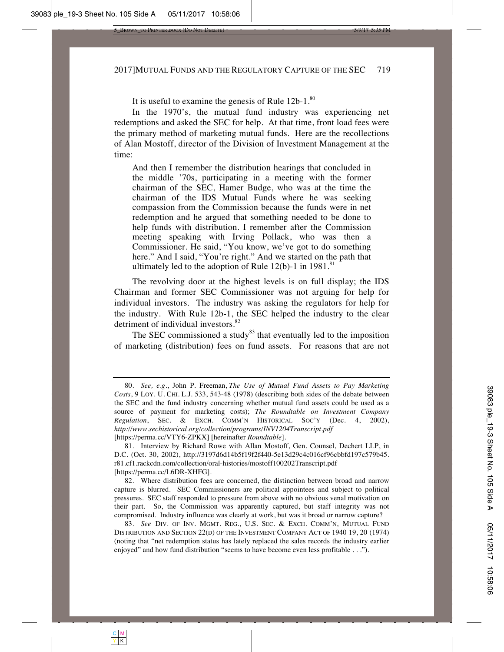C M Y | K

#### 5\_BROWN\_TO PRINTER.DOCX (DO NOT DELETE)

# 2017]MUTUAL FUNDS AND THE REGULATORY CAPTURE OF THE SEC 719

It is useful to examine the genesis of Rule  $12b-1$ .<sup>80</sup>

In the 1970's, the mutual fund industry was experiencing net redemptions and asked the SEC for help. At that time, front load fees were the primary method of marketing mutual funds. Here are the recollections of Alan Mostoff, director of the Division of Investment Management at the time:

And then I remember the distribution hearings that concluded in the middle '70s, participating in a meeting with the former chairman of the SEC, Hamer Budge, who was at the time the chairman of the IDS Mutual Funds where he was seeking compassion from the Commission because the funds were in net redemption and he argued that something needed to be done to help funds with distribution. I remember after the Commission meeting speaking with Irving Pollack, who was then a Commissioner. He said, "You know, we've got to do something here." And I said, "You're right." And we started on the path that ultimately led to the adoption of Rule  $12(b)$ -1 in 1981.<sup>81</sup>

The revolving door at the highest levels is on full display; the IDS Chairman and former SEC Commissioner was not arguing for help for individual investors. The industry was asking the regulators for help for the industry. With Rule 12b-1, the SEC helped the industry to the clear detriment of individual investors. $82$ 

The SEC commissioned a study $^{83}$  that eventually led to the imposition of marketing (distribution) fees on fund assets. For reasons that are not

 83. *See* DIV. OF INV. MGMT. REG., U.S. SEC.&EXCH. COMM'N, MUTUAL FUND DISTRIBUTION AND SECTION 22(D) OF THE INVESTMENT COMPANY ACT OF 1940 19, 20 (1974) (noting that "net redemption status has lately replaced the sales records the industry earlier enjoyed" and how fund distribution "seems to have become even less profitable . . .").

 <sup>80.</sup> *See, e.g.*, John P. Freeman, *The Use of Mutual Fund Assets to Pay Marketing Costs*, 9 LOY. U. CHI. L.J. 533, 543-48 (1978) (describing both sides of the debate between the SEC and the fund industry concerning whether mutual fund assets could be used as a source of payment for marketing costs); *The Roundtable on Investment Company Regulation*, SEC.&EXCH. COMM'N HISTORICAL SOC'Y (Dec. 4, 2002), *http://www.sechistorical.org/collection/programs/INV1204Transcript.pdf* [https://perma.cc/VTY6-ZPKX] [hereinafter *Roundtable*].

 <sup>81.</sup> Interview by Richard Rowe with Allan Mostoff, Gen. Counsel, Dechert LLP, in D.C. (Oct. 30, 2002), http://3197d6d14b5f19f2f440-5e13d29c4c016cf96cbbfd197c579b45. r81.cf1.rackcdn.com/collection/oral-histories/mostoff100202Transcript.pdf [https://perma.cc/L6DR-XHFG].

 <sup>82.</sup> Where distribution fees are concerned, the distinction between broad and narrow capture is blurred. SEC Commissioners are political appointees and subject to political pressures. SEC staff responded to pressure from above with no obvious venal motivation on their part. So, the Commission was apparently captured, but staff integrity was not compromised. Industry influence was clearly at work, but was it broad or narrow capture?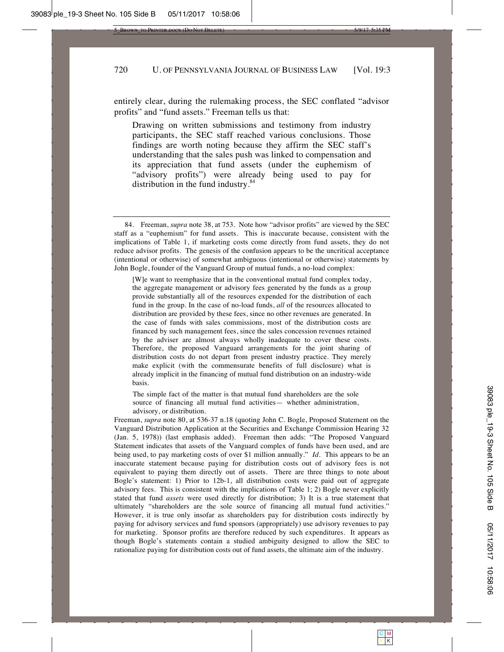# 720 U. OF PENNSYLVANIA JOURNAL OF BUSINESS LAW [Vol. 19:3

entirely clear, during the rulemaking process, the SEC conflated "advisor profits" and "fund assets." Freeman tells us that:

Drawing on written submissions and testimony from industry participants, the SEC staff reached various conclusions. Those findings are worth noting because they affirm the SEC staff's understanding that the sales push was linked to compensation and its appreciation that fund assets (under the euphemism of "advisory profits") were already being used to pay for distribution in the fund industry. $84$ 

[W]e want to reemphasize that in the conventional mutual fund complex today, the aggregate management or advisory fees generated by the funds as a group provide substantially all of the resources expended for the distribution of each fund in the group. In the case of no-load funds, *all* of the resources allocated to distribution are provided by these fees, since no other revenues are generated. In the case of funds with sales commissions, most of the distribution costs are financed by such management fees, since the sales concession revenues retained by the adviser are almost always wholly inadequate to cover these costs. Therefore, the proposed Vanguard arrangements for the joint sharing of distribution costs do not depart from present industry practice. They merely make explicit (with the commensurate benefits of full disclosure) what is already implicit in the financing of mutual fund distribution on an industry-wide basis.

The simple fact of the matter is that mutual fund shareholders are the sole source of financing all mutual fund activities— whether administration, advisory, or distribution.

Freeman, *supra* note 80, at 536-37 n.18 (quoting John C. Bogle, Proposed Statement on the Vanguard Distribution Application at the Securities and Exchange Commission Hearing 32 (Jan. 5, 1978)) (last emphasis added). Freeman then adds: "The Proposed Vanguard Statement indicates that assets of the Vanguard complex of funds have been used, and are being used, to pay marketing costs of over \$1 million annually." *Id.* This appears to be an inaccurate statement because paying for distribution costs out of advisory fees is not equivalent to paying them directly out of assets. There are three things to note about Bogle's statement: 1) Prior to 12b-1, all distribution costs were paid out of aggregate advisory fees. This is consistent with the implications of Table 1; 2) Bogle never explicitly stated that fund *assets* were used directly for distribution; 3) It is a true statement that ultimately "shareholders are the sole source of financing all mutual fund activities." However, it is true only insofar as shareholders pay for distribution costs indirectly by paying for advisory services and fund sponsors (appropriately) use advisory revenues to pay for marketing. Sponsor profits are therefore reduced by such expenditures. It appears as though Bogle's statements contain a studied ambiguity designed to allow the SEC to rationalize paying for distribution costs out of fund assets, the ultimate aim of the industry.

 <sup>84.</sup> Freeman, *supra* note 38, at 753. Note how "advisor profits" are viewed by the SEC staff as a "euphemism" for fund assets. This is inaccurate because, consistent with the implications of Table 1, if marketing costs come directly from fund assets, they do not reduce advisor profits. The genesis of the confusion appears to be the uncritical acceptance (intentional or otherwise) of somewhat ambiguous (intentional or otherwise) statements by John Bogle, founder of the Vanguard Group of mutual funds, a no-load complex: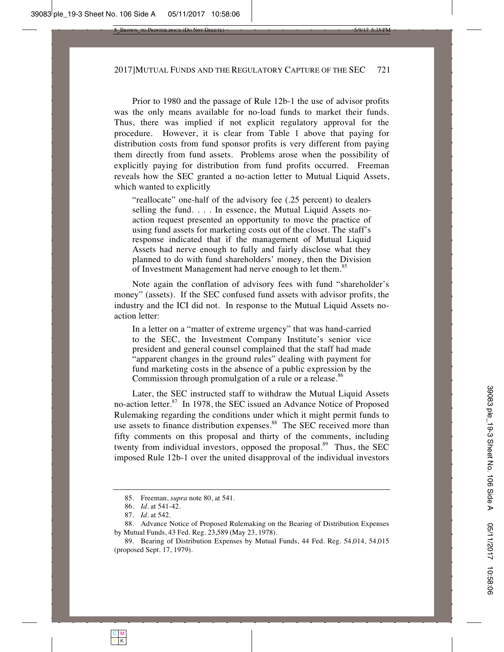# 2017]MUTUAL FUNDS AND THE REGULATORY CAPTURE OF THE SEC 721

Prior to 1980 and the passage of Rule 12b-1 the use of advisor profits was the only means available for no-load funds to market their funds. Thus, there was implied if not explicit regulatory approval for the procedure. However, it is clear from Table 1 above that paying for distribution costs from fund sponsor profits is very different from paying them directly from fund assets. Problems arose when the possibility of explicitly paying for distribution from fund profits occurred. Freeman reveals how the SEC granted a no-action letter to Mutual Liquid Assets, which wanted to explicitly

"reallocate" one-half of the advisory fee (.25 percent) to dealers selling the fund. . . . In essence, the Mutual Liquid Assets noaction request presented an opportunity to move the practice of using fund assets for marketing costs out of the closet. The staff's response indicated that if the management of Mutual Liquid Assets had nerve enough to fully and fairly disclose what they planned to do with fund shareholders' money, then the Division of Investment Management had nerve enough to let them.<sup>85</sup>

Note again the conflation of advisory fees with fund "shareholder's money" (assets). If the SEC confused fund assets with advisor profits, the industry and the ICI did not. In response to the Mutual Liquid Assets noaction letter:

In a letter on a "matter of extreme urgency" that was hand-carried to the SEC, the Investment Company Institute's senior vice president and general counsel complained that the staff had made "apparent changes in the ground rules" dealing with payment for fund marketing costs in the absence of a public expression by the Commission through promulgation of a rule or a release.<sup>86</sup>

Later, the SEC instructed staff to withdraw the Mutual Liquid Assets no-action letter.<sup>87</sup> In 1978, the SEC issued an Advance Notice of Proposed Rulemaking regarding the conditions under which it might permit funds to use assets to finance distribution expenses.<sup>88</sup> The SEC received more than fifty comments on this proposal and thirty of the comments, including twenty from individual investors, opposed the proposal.<sup>89</sup> Thus, the SEC imposed Rule 12b-1 over the united disapproval of the individual investors



 <sup>85.</sup> Freeman, *supra* note 80, at 541.

 <sup>86.</sup> *Id.* at 541-42.

 <sup>87.</sup> *Id.* at 542.

 <sup>88.</sup> Advance Notice of Proposed Rulemaking on the Bearing of Distribution Expenses by Mutual Funds, 43 Fed. Reg. 23,589 (May 23, 1978).

 <sup>89.</sup> Bearing of Distribution Expenses by Mutual Funds, 44 Fed. Reg. 54,014, 54,015 (proposed Sept. 17, 1979).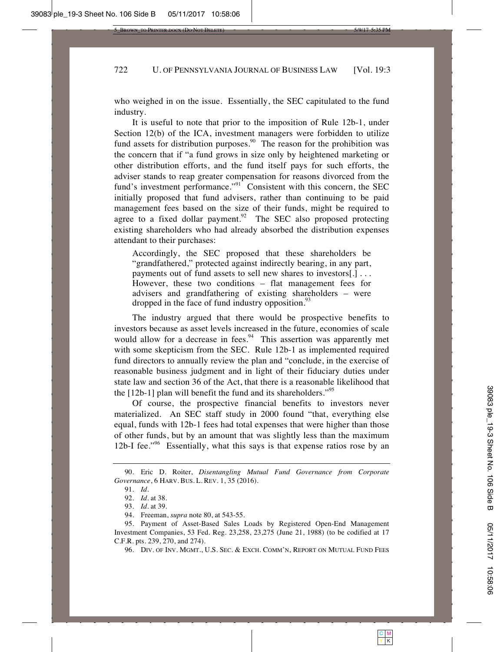# 722 U. OF PENNSYLVANIA JOURNAL OF BUSINESS LAW [Vol. 19:3

who weighed in on the issue. Essentially, the SEC capitulated to the fund industry.

It is useful to note that prior to the imposition of Rule 12b-1, under Section 12(b) of the ICA, investment managers were forbidden to utilize fund assets for distribution purposes.<sup>90</sup> The reason for the prohibition was the concern that if "a fund grows in size only by heightened marketing or other distribution efforts, and the fund itself pays for such efforts, the adviser stands to reap greater compensation for reasons divorced from the fund's investment performance."<sup>91</sup> Consistent with this concern, the SEC initially proposed that fund advisers, rather than continuing to be paid management fees based on the size of their funds, might be required to agree to a fixed dollar payment.<sup>92</sup> The SEC also proposed protecting existing shareholders who had already absorbed the distribution expenses attendant to their purchases:

Accordingly, the SEC proposed that these shareholders be "grandfathered," protected against indirectly bearing, in any part, payments out of fund assets to sell new shares to investors[.] . . . However, these two conditions – flat management fees for advisers and grandfathering of existing shareholders – were dropped in the face of fund industry opposition.<sup>93</sup>

The industry argued that there would be prospective benefits to investors because as asset levels increased in the future, economies of scale would allow for a decrease in fees.<sup>94</sup> This assertion was apparently met with some skepticism from the SEC. Rule 12b-1 as implemented required fund directors to annually review the plan and "conclude, in the exercise of reasonable business judgment and in light of their fiduciary duties under state law and section 36 of the Act, that there is a reasonable likelihood that the  $[12b-1]$  plan will benefit the fund and its shareholders."<sup>95</sup>

Of course, the prospective financial benefits to investors never materialized. An SEC staff study in 2000 found "that, everything else equal, funds with 12b-1 fees had total expenses that were higher than those of other funds, but by an amount that was slightly less than the maximum 12b-I fee."<sup>96</sup> Essentially, what this says is that expense ratios rose by an

 <sup>90.</sup> Eric D. Roiter, *Disentangling Mutual Fund Governance from Corporate Governance*, 6 HARV. BUS. L. REV. 1, 35 (2016).

 <sup>91.</sup> *Id.*

 <sup>92.</sup> *Id.* at 38.

 <sup>93.</sup> *Id.* at 39.

 <sup>94.</sup> Freeman, *supra* note 80, at 543-55.

 <sup>95.</sup> Payment of Asset-Based Sales Loads by Registered Open-End Management Investment Companies, 53 Fed. Reg. 23,258, 23,275 (June 21, 1988) (to be codified at 17 C.F.R. pts. 239, 270, and 274).

 <sup>96.</sup> DIV. OF INV. MGMT., U.S. SEC.&EXCH. COMM'N, REPORT ON MUTUAL FUND FEES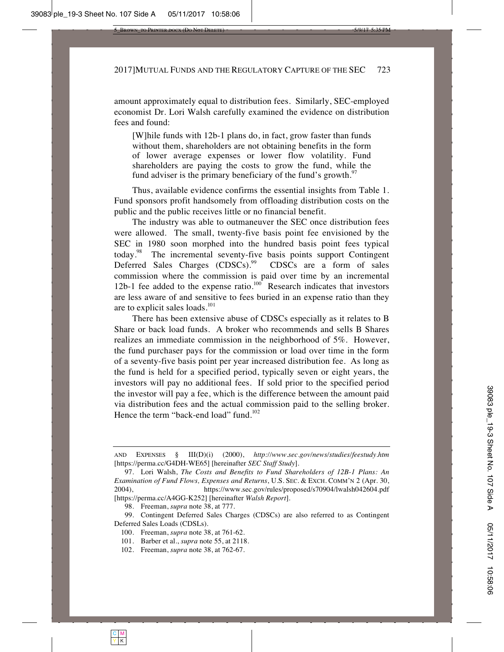amount approximately equal to distribution fees. Similarly, SEC-employed economist Dr. Lori Walsh carefully examined the evidence on distribution fees and found:

[W]hile funds with 12b-1 plans do, in fact, grow faster than funds without them, shareholders are not obtaining benefits in the form of lower average expenses or lower flow volatility. Fund shareholders are paying the costs to grow the fund, while the fund adviser is the primary beneficiary of the fund's growth.<sup>97</sup>

Thus, available evidence confirms the essential insights from Table 1. Fund sponsors profit handsomely from offloading distribution costs on the public and the public receives little or no financial benefit.

The industry was able to outmaneuver the SEC once distribution fees were allowed. The small, twenty-five basis point fee envisioned by the SEC in 1980 soon morphed into the hundred basis point fees typical today.<sup>98</sup> The incremental seventy-five basis points support Contingent Deferred Sales Charges (CDSCs).<sup>99</sup> CDSCs are a form of sales commission where the commission is paid over time by an incremental 12b-1 fee added to the expense ratio. $100$  Research indicates that investors are less aware of and sensitive to fees buried in an expense ratio than they are to explicit sales loads.<sup>101</sup>

There has been extensive abuse of CDSCs especially as it relates to B Share or back load funds. A broker who recommends and sells B Shares realizes an immediate commission in the neighborhood of 5%. However, the fund purchaser pays for the commission or load over time in the form of a seventy-five basis point per year increased distribution fee. As long as the fund is held for a specified period, typically seven or eight years, the investors will pay no additional fees. If sold prior to the specified period the investor will pay a fee, which is the difference between the amount paid via distribution fees and the actual commission paid to the selling broker. Hence the term "back-end load" fund.<sup>102</sup>

98. Freeman, *supra* note 38, at 777.

 99. Contingent Deferred Sales Charges (CDSCs) are also referred to as Contingent Deferred Sales Loads (CDSLs).

- 100. Freeman, *supra* note 38, at 761-62.
- 101. Barber et al., *supra* note 55, at 2118.
- 102. Freeman, *supra* note 38, at 762-67.

AND EXPENSES § III(D)(i) (2000), *http://www.sec.gov/news/studies/feestudy.htm* [https://perma.cc/G4DH-WE65] [hereinafter *SEC Staff Study*].

 <sup>97.</sup> Lori Walsh, *The Costs and Benefits to Fund Shareholders of 12B-1 Plans: An Examination of Fund Flows, Expenses and Returns*, U.S. SEC.&EXCH. COMM'N 2 (Apr. 30, 2004), https://www.sec.gov/rules/proposed/s70904/lwalsh042604.pdf [https://perma.cc/A4GG-K252] [hereinafter *Walsh Report*].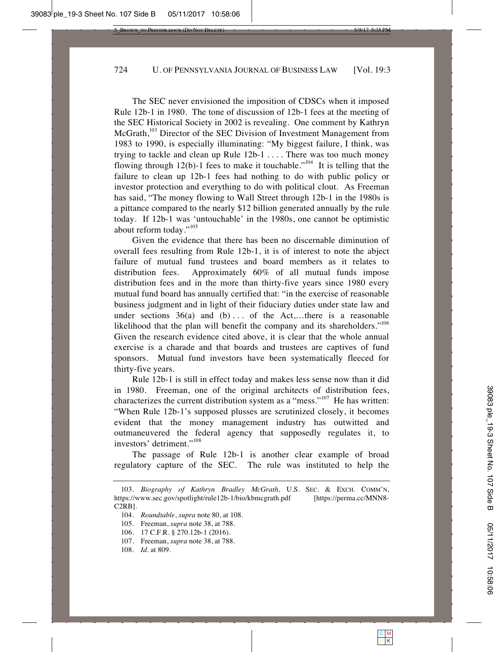# 724 U. OF PENNSYLVANIA JOURNAL OF BUSINESS LAW [Vol. 19:3

The SEC never envisioned the imposition of CDSCs when it imposed Rule 12b-1 in 1980. The tone of discussion of 12b-1 fees at the meeting of the SEC Historical Society in 2002 is revealing. One comment by Kathryn McGrath,<sup>103</sup> Director of the SEC Division of Investment Management from 1983 to 1990, is especially illuminating: "My biggest failure, I think, was trying to tackle and clean up Rule 12b-1 . . . . There was too much money flowing through 12(b)-1 fees to make it touchable."<sup>104</sup> It is telling that the failure to clean up 12b-1 fees had nothing to do with public policy or investor protection and everything to do with political clout. As Freeman has said, "The money flowing to Wall Street through 12b-1 in the 1980s is a pittance compared to the nearly \$12 billion generated annually by the rule today. If 12b-1 was 'untouchable' in the 1980s, one cannot be optimistic about reform today."<sup>105</sup>

Given the evidence that there has been no discernable diminution of overall fees resulting from Rule 12b-1, it is of interest to note the abject failure of mutual fund trustees and board members as it relates to distribution fees. Approximately 60% of all mutual funds impose distribution fees and in the more than thirty-five years since 1980 every mutual fund board has annually certified that: "in the exercise of reasonable business judgment and in light of their fiduciary duties under state law and under sections  $36(a)$  and  $(b) \ldots$  of the Act,...there is a reasonable likelihood that the plan will benefit the company and its shareholders."<sup>106</sup> Given the research evidence cited above, it is clear that the whole annual exercise is a charade and that boards and trustees are captives of fund sponsors. Mutual fund investors have been systematically fleeced for thirty-five years.

Rule 12b-1 is still in effect today and makes less sense now than it did in 1980. Freeman, one of the original architects of distribution fees, characterizes the current distribution system as a "mess."<sup>107</sup> He has written: "When Rule 12b-1's supposed plusses are scrutinized closely, it becomes evident that the money management industry has outwitted and outmaneuvered the federal agency that supposedly regulates it, to investors' detriment."<sup>108</sup>

The passage of Rule 12b-1 is another clear example of broad regulatory capture of the SEC. The rule was instituted to help the

- 106. 17 C.F.R. § 270.12b-1 (2016).
- 107. Freeman, *supra* note 38, at 788.
- 108. *Id.* at 809.

C M Y | K

 <sup>103.</sup> *Biography of Kathryn Bradley McGrath*, U.S. SEC.&EXCH. COMM'N, https://www.sec.gov/spotlight/rule12b-1/bio/kbmcgrath.pdf [https://perma.cc/MNN8- C2RB].

 <sup>104.</sup> *Roundtable*, *supra* note 80, at 108.

 <sup>105.</sup> Freeman, *supra* note 38, at 788.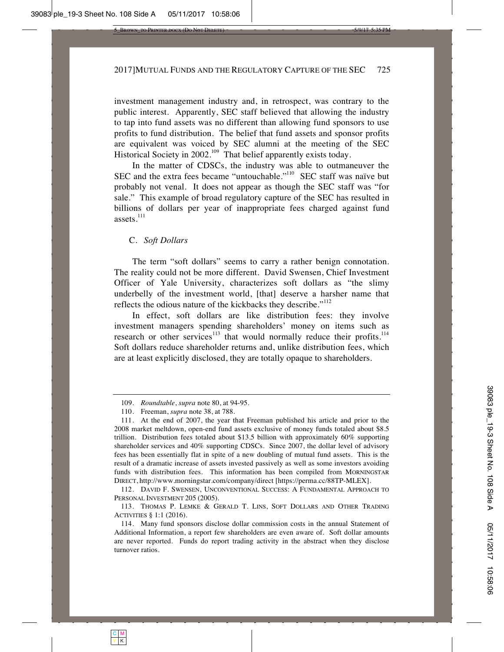## 2017]MUTUAL FUNDS AND THE REGULATORY CAPTURE OF THE SEC 725

investment management industry and, in retrospect, was contrary to the public interest. Apparently, SEC staff believed that allowing the industry to tap into fund assets was no different than allowing fund sponsors to use profits to fund distribution. The belief that fund assets and sponsor profits are equivalent was voiced by SEC alumni at the meeting of the SEC Historical Society in  $2002$ <sup>109</sup> That belief apparently exists today.

In the matter of CDSCs, the industry was able to outmaneuver the SEC and the extra fees became "untouchable."<sup>110</sup> SEC staff was naïve but probably not venal. It does not appear as though the SEC staff was "for sale." This example of broad regulatory capture of the SEC has resulted in billions of dollars per year of inappropriate fees charged against fund assets.<sup>111</sup>

## C. *Soft Dollars*

The term "soft dollars" seems to carry a rather benign connotation. The reality could not be more different. David Swensen, Chief Investment Officer of Yale University, characterizes soft dollars as "the slimy underbelly of the investment world, [that] deserve a harsher name that reflects the odious nature of the kickbacks they describe."<sup>112</sup>

In effect, soft dollars are like distribution fees: they involve investment managers spending shareholders' money on items such as research or other services<sup>113</sup> that would normally reduce their profits.<sup>114</sup> Soft dollars reduce shareholder returns and, unlike distribution fees, which are at least explicitly disclosed, they are totally opaque to shareholders.



 <sup>109.</sup> *Roundtable*, *supra* note 80, at 94-95.

 <sup>110.</sup> Freeman, *supra* note 38, at 788.

 <sup>111.</sup> At the end of 2007, the year that Freeman published his article and prior to the 2008 market meltdown, open-end fund assets exclusive of money funds totaled about \$8.5 trillion. Distribution fees totaled about \$13.5 billion with approximately 60% supporting shareholder services and 40% supporting CDSCs. Since 2007, the dollar level of advisory fees has been essentially flat in spite of a new doubling of mutual fund assets. This is the result of a dramatic increase of assets invested passively as well as some investors avoiding funds with distribution fees. This information has been compiled from MORNINGSTAR DIRECT, http://www.morningstar.com/company/direct [https://perma.cc/88TP-MLEX].

<sup>112.</sup> DAVID F. SWENSEN, UNCONVENTIONAL SUCCESS: A FUNDAMENTAL APPROACH TO PERSONAL INVESTMENT 205 (2005).

 <sup>113.</sup> THOMAS P. LEMKE & GERALD T. LINS, SOFT DOLLARS AND OTHER TRADING ACTIVITIES § 1:1 (2016).

 <sup>114.</sup> Many fund sponsors disclose dollar commission costs in the annual Statement of Additional Information, a report few shareholders are even aware of. Soft dollar amounts are never reported. Funds do report trading activity in the abstract when they disclose turnover ratios.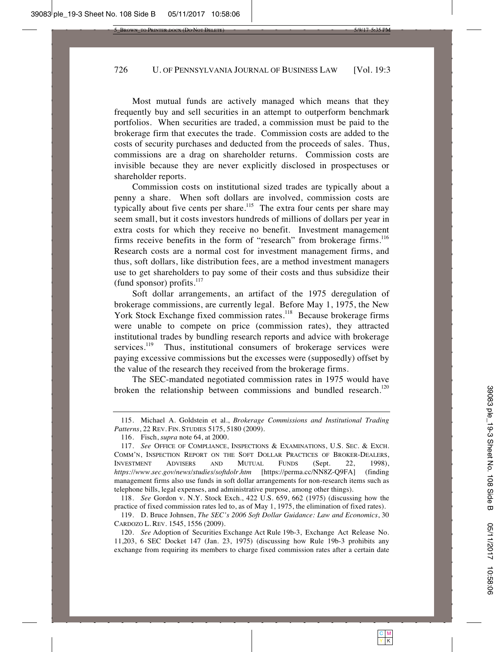# 726 U. OF PENNSYLVANIA JOURNAL OF BUSINESS LAW [Vol. 19:3

Most mutual funds are actively managed which means that they frequently buy and sell securities in an attempt to outperform benchmark portfolios. When securities are traded, a commission must be paid to the brokerage firm that executes the trade. Commission costs are added to the costs of security purchases and deducted from the proceeds of sales. Thus, commissions are a drag on shareholder returns. Commission costs are invisible because they are never explicitly disclosed in prospectuses or shareholder reports.

Commission costs on institutional sized trades are typically about a penny a share. When soft dollars are involved, commission costs are typically about five cents per share.<sup>115</sup> The extra four cents per share may seem small, but it costs investors hundreds of millions of dollars per year in extra costs for which they receive no benefit. Investment management firms receive benefits in the form of "research" from brokerage firms.<sup>116</sup> Research costs are a normal cost for investment management firms, and thus, soft dollars, like distribution fees, are a method investment managers use to get shareholders to pay some of their costs and thus subsidize their (fund sponsor) profits.<sup>117</sup>

Soft dollar arrangements, an artifact of the 1975 deregulation of brokerage commissions, are currently legal. Before May 1, 1975, the New York Stock Exchange fixed commission rates.<sup>118</sup> Because brokerage firms were unable to compete on price (commission rates), they attracted institutional trades by bundling research reports and advice with brokerage services.<sup>119</sup> Thus, institutional consumers of brokerage services were paying excessive commissions but the excesses were (supposedly) offset by the value of the research they received from the brokerage firms.

The SEC-mandated negotiated commission rates in 1975 would have broken the relationship between commissions and bundled research.<sup>120</sup>

 118. *See* Gordon v. N.Y. Stock Exch., 422 U.S. 659, 662 (1975) (discussing how the practice of fixed commission rates led to, as of May 1, 1975, the elimination of fixed rates).

 119. D. Bruce Johnsen, *The SEC's 2006 Soft Dollar Guidance: Law and Economics*, 30 CARDOZO L. REV. 1545, 1556 (2009).

 120. *See* Adoption of Securities Exchange Act Rule 19b-3, Exchange Act Release No. 11,203, 6 SEC Docket 147 (Jan. 23, 1975) (discussing how Rule 19b-3 prohibits any exchange from requiring its members to charge fixed commission rates after a certain date

C M Y | K

 <sup>115.</sup> Michael A. Goldstein et al., *Brokerage Commissions and Institutional Trading Patterns*, 22 REV. FIN. STUDIES 5175, 5180 (2009).

 <sup>116.</sup> Fisch, *supra* note 64, at 2000.

 <sup>117.</sup> *See* OFFICE OF COMPLIANCE, INSPECTIONS & EXAMINATIONS, U.S. SEC.&EXCH. COMM'N, INSPECTION REPORT ON THE SOFT DOLLAR PRACTICES OF BROKER-DEALERS, INVESTMENT ADVISERS AND MUTUAL FUNDS (Sept. 22, 1998), *https://www.sec.gov/news/studies/softdolr.htm* [https://perma.cc/NN8Z-Q9FA] (finding management firms also use funds in soft dollar arrangements for non-research items such as telephone bills, legal expenses, and administrative purpose, among other things).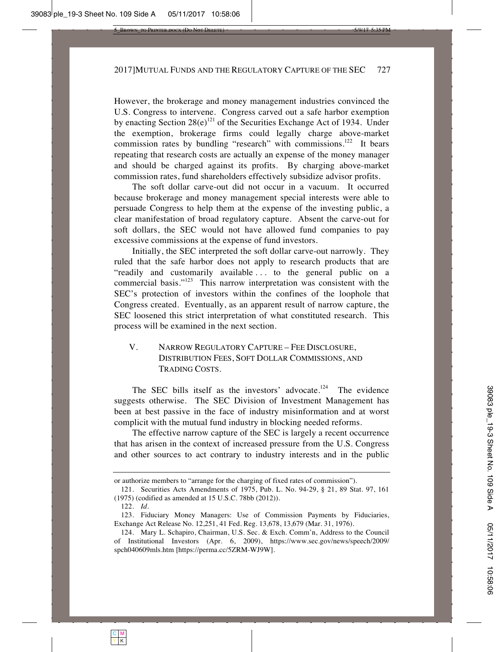# 2017]MUTUAL FUNDS AND THE REGULATORY CAPTURE OF THE SEC 727

However, the brokerage and money management industries convinced the U.S. Congress to intervene. Congress carved out a safe harbor exemption by enacting Section  $28(e)^{121}$  of the Securities Exchange Act of 1934. Under the exemption, brokerage firms could legally charge above-market commission rates by bundling "research" with commissions.<sup>122</sup> It bears repeating that research costs are actually an expense of the money manager and should be charged against its profits. By charging above-market commission rates, fund shareholders effectively subsidize advisor profits.

The soft dollar carve-out did not occur in a vacuum. It occurred because brokerage and money management special interests were able to persuade Congress to help them at the expense of the investing public, a clear manifestation of broad regulatory capture. Absent the carve-out for soft dollars, the SEC would not have allowed fund companies to pay excessive commissions at the expense of fund investors.

Initially, the SEC interpreted the soft dollar carve-out narrowly. They ruled that the safe harbor does not apply to research products that are "readily and customarily available . . . to the general public on a commercial basis."123 This narrow interpretation was consistent with the SEC's protection of investors within the confines of the loophole that Congress created. Eventually, as an apparent result of narrow capture, the SEC loosened this strict interpretation of what constituted research. This process will be examined in the next section.

# V. NARROW REGULATORY CAPTURE – FEE DISCLOSURE, DISTRIBUTION FEES, SOFT DOLLAR COMMISSIONS, AND TRADING COSTS.

The SEC bills itself as the investors' advocate.<sup>124</sup> The evidence suggests otherwise. The SEC Division of Investment Management has been at best passive in the face of industry misinformation and at worst complicit with the mutual fund industry in blocking needed reforms.

The effective narrow capture of the SEC is largely a recent occurrence that has arisen in the context of increased pressure from the U.S. Congress and other sources to act contrary to industry interests and in the public



or authorize members to "arrange for the charging of fixed rates of commission").

 <sup>121.</sup> Securities Acts Amendments of 1975, Pub. L. No. 94-29, § 21, 89 Stat. 97, 161 (1975) (codified as amended at 15 U.S.C. 78bb (2012)).

 <sup>122.</sup> *Id.*

 <sup>123.</sup> Fiduciary Money Managers: Use of Commission Payments by Fiduciaries, Exchange Act Release No. 12,251, 41 Fed. Reg. 13,678, 13,679 (Mar. 31, 1976).

 <sup>124.</sup> Mary L. Schapiro, Chairman, U.S. Sec. & Exch. Comm'n, Address to the Council of Institutional Investors (Apr. 6, 2009), https://www.sec.gov/news/speech/2009/ spch040609mls.htm [https://perma.cc/5ZRM-WJ9W].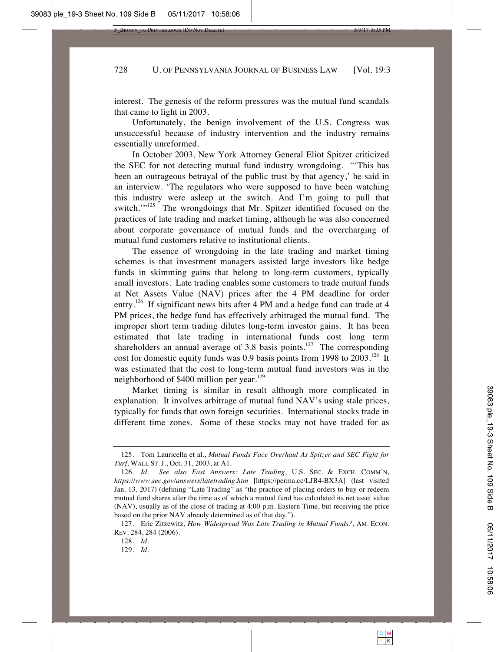# 728 U. OF PENNSYLVANIA JOURNAL OF BUSINESS LAW [Vol. 19:3

interest. The genesis of the reform pressures was the mutual fund scandals that came to light in 2003.

Unfortunately, the benign involvement of the U.S. Congress was unsuccessful because of industry intervention and the industry remains essentially unreformed.

In October 2003, New York Attorney General Eliot Spitzer criticized the SEC for not detecting mutual fund industry wrongdoing. "'This has been an outrageous betrayal of the public trust by that agency,' he said in an interview. 'The regulators who were supposed to have been watching this industry were asleep at the switch. And I'm going to pull that switch."<sup>125</sup> The wrongdoings that Mr. Spitzer identified focused on the practices of late trading and market timing, although he was also concerned about corporate governance of mutual funds and the overcharging of mutual fund customers relative to institutional clients.

The essence of wrongdoing in the late trading and market timing schemes is that investment managers assisted large investors like hedge funds in skimming gains that belong to long-term customers, typically small investors. Late trading enables some customers to trade mutual funds at Net Assets Value (NAV) prices after the 4 PM deadline for order entry.<sup>126</sup> If significant news hits after 4 PM and a hedge fund can trade at 4 PM prices, the hedge fund has effectively arbitraged the mutual fund. The improper short term trading dilutes long-term investor gains. It has been estimated that late trading in international funds cost long term shareholders an annual average of 3.8 basis points.<sup>127</sup> The corresponding cost for domestic equity funds was 0.9 basis points from 1998 to  $2003$ <sup>128</sup>. was estimated that the cost to long-term mutual fund investors was in the neighborhood of \$400 million per year.<sup>129</sup>

Market timing is similar in result although more complicated in explanation. It involves arbitrage of mutual fund NAV's using stale prices, typically for funds that own foreign securities. International stocks trade in different time zones. Some of these stocks may not have traded for as

 127. Eric Zitzewitz, *How Widespread Was Late Trading in Mutual Funds?*, AM. ECON. REV. 284, 284 (2006).

128. *Id.*

129. *Id.*

 <sup>125.</sup> Tom Lauricella et al., *Mutual Funds Face Overhaul As Spitzer and SEC Fight for Turf*, WALL ST. J., Oct. 31, 2003, at A1.

 <sup>126.</sup> *Id. See also Fast Answers: Late Trading*, U.S. SEC.&EXCH. COMM'N, *https://www.sec.gov/answers/latetrading.htm* [https://perma.cc/LJB4-BX3A] (last visited Jan. 13, 2017) (defining "Late Trading" as "the practice of placing orders to buy or redeem mutual fund shares after the time as of which a mutual fund has calculated its net asset value (NAV), usually as of the close of trading at 4:00 p.m. Eastern Time, but receiving the price based on the prior NAV already determined as of that day.").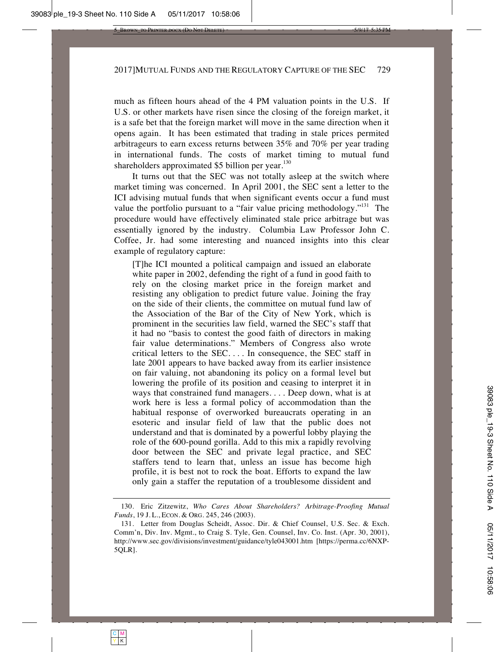## 2017]MUTUAL FUNDS AND THE REGULATORY CAPTURE OF THE SEC 729

much as fifteen hours ahead of the 4 PM valuation points in the U.S. If U.S. or other markets have risen since the closing of the foreign market, it is a safe bet that the foreign market will move in the same direction when it opens again. It has been estimated that trading in stale prices permited arbitrageurs to earn excess returns between 35% and 70% per year trading in international funds. The costs of market timing to mutual fund shareholders approximated \$5 billion per year.<sup>130</sup>

It turns out that the SEC was not totally asleep at the switch where market timing was concerned. In April 2001, the SEC sent a letter to the ICI advising mutual funds that when significant events occur a fund must value the portfolio pursuant to a "fair value pricing methodology."<sup>131</sup> The procedure would have effectively eliminated stale price arbitrage but was essentially ignored by the industry. Columbia Law Professor John C. Coffee, Jr. had some interesting and nuanced insights into this clear example of regulatory capture:

[T]he ICI mounted a political campaign and issued an elaborate white paper in 2002, defending the right of a fund in good faith to rely on the closing market price in the foreign market and resisting any obligation to predict future value. Joining the fray on the side of their clients, the committee on mutual fund law of the Association of the Bar of the City of New York, which is prominent in the securities law field, warned the SEC's staff that it had no "basis to contest the good faith of directors in making fair value determinations." Members of Congress also wrote critical letters to the SEC. . . . In consequence, the SEC staff in late 2001 appears to have backed away from its earlier insistence on fair valuing, not abandoning its policy on a formal level but lowering the profile of its position and ceasing to interpret it in ways that constrained fund managers. . . . Deep down, what is at work here is less a formal policy of accommodation than the habitual response of overworked bureaucrats operating in an esoteric and insular field of law that the public does not understand and that is dominated by a powerful lobby playing the role of the 600-pound gorilla. Add to this mix a rapidly revolving door between the SEC and private legal practice, and SEC staffers tend to learn that, unless an issue has become high profile, it is best not to rock the boat. Efforts to expand the law only gain a staffer the reputation of a troublesome dissident and



 <sup>130.</sup> Eric Zitzewitz, *Who Cares About Shareholders? Arbitrage-Proofing Mutual Funds*, 19 J. L., ECON.&ORG. 245, 246 (2003).

 <sup>131.</sup> Letter from Douglas Scheidt, Assoc. Dir. & Chief Counsel, U.S. Sec. & Exch. Comm'n, Div. Inv. Mgmt., to Craig S. Tyle, Gen. Counsel, Inv. Co. Inst. (Apr. 30, 2001), http://www.sec.gov/divisions/investment/guidance/tyle043001.htm [https://perma.cc/6NXP-5QLR].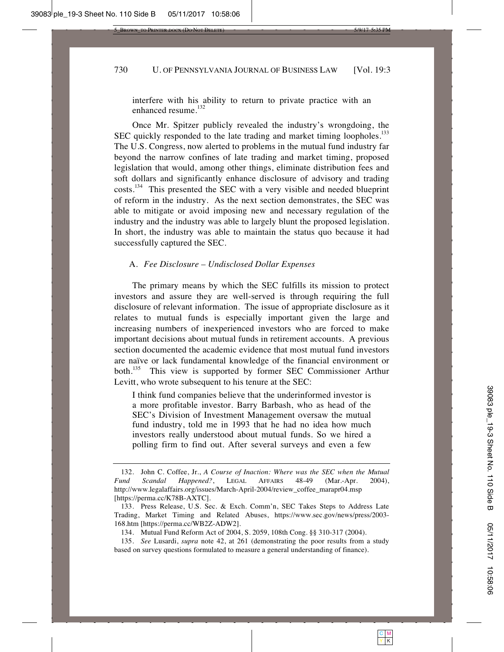# 730 U. OF PENNSYLVANIA JOURNAL OF BUSINESS LAW [Vol. 19:3

interfere with his ability to return to private practice with an enhanced resume. $^{132}$ 

Once Mr. Spitzer publicly revealed the industry's wrongdoing, the SEC quickly responded to the late trading and market timing loopholes.<sup>133</sup> The U.S. Congress, now alerted to problems in the mutual fund industry far beyond the narrow confines of late trading and market timing, proposed legislation that would, among other things, eliminate distribution fees and soft dollars and significantly enhance disclosure of advisory and trading costs.<sup>134</sup> This presented the SEC with a very visible and needed blueprint of reform in the industry. As the next section demonstrates, the SEC was able to mitigate or avoid imposing new and necessary regulation of the industry and the industry was able to largely blunt the proposed legislation. In short, the industry was able to maintain the status quo because it had successfully captured the SEC.

## A. *Fee Disclosure – Undisclosed Dollar Expenses*

The primary means by which the SEC fulfills its mission to protect investors and assure they are well-served is through requiring the full disclosure of relevant information. The issue of appropriate disclosure as it relates to mutual funds is especially important given the large and increasing numbers of inexperienced investors who are forced to make important decisions about mutual funds in retirement accounts. A previous section documented the academic evidence that most mutual fund investors are naïve or lack fundamental knowledge of the financial environment or both.<sup>135</sup> This view is supported by former SEC Commissioner Arthur Levitt, who wrote subsequent to his tenure at the SEC:

I think fund companies believe that the underinformed investor is a more profitable investor. Barry Barbash, who as head of the SEC's Division of Investment Management oversaw the mutual fund industry, told me in 1993 that he had no idea how much investors really understood about mutual funds. So we hired a polling firm to find out. After several surveys and even a few

 <sup>132.</sup> John C. Coffee, Jr., *A Course of Inaction: Where was the SEC when the Mutual Fund Scandal Happened?*, LEGAL AFFAIRS 48-49 (Mar.-Apr. 2004), http://www.legalaffairs.org/issues/March-April-2004/review\_coffee\_marapr04.msp [https://perma.cc/K78B-AXTC].

 <sup>133.</sup> Press Release, U.S. Sec. & Exch. Comm'n, SEC Takes Steps to Address Late Trading, Market Timing and Related Abuses, https://www.sec.gov/news/press/2003- 168.htm [https://perma.cc/WB2Z-ADW2].

 <sup>134.</sup> Mutual Fund Reform Act of 2004, S. 2059, 108th Cong. §§ 310-317 (2004).

 <sup>135.</sup> *See* Lusardi, *supra* note 42, at 261 (demonstrating the poor results from a study based on survey questions formulated to measure a general understanding of finance).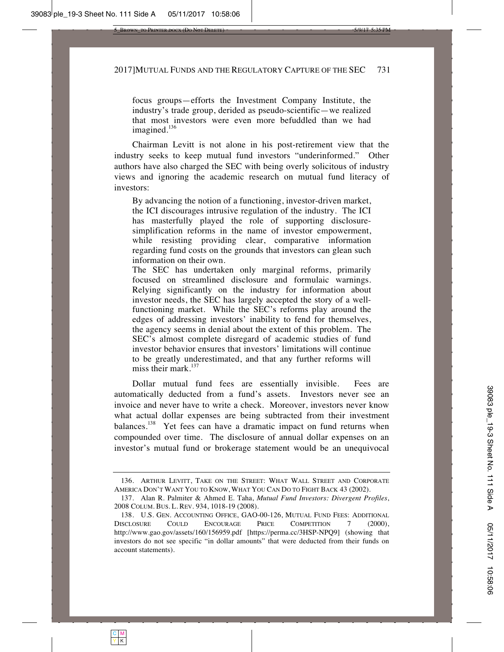focus groups—efforts the Investment Company Institute, the industry's trade group, derided as pseudo-scientific—we realized that most investors were even more befuddled than we had imagined.<sup>136</sup>

Chairman Levitt is not alone in his post-retirement view that the industry seeks to keep mutual fund investors "underinformed." Other authors have also charged the SEC with being overly solicitous of industry views and ignoring the academic research on mutual fund literacy of investors:

By advancing the notion of a functioning, investor-driven market, the ICI discourages intrusive regulation of the industry. The ICI has masterfully played the role of supporting disclosuresimplification reforms in the name of investor empowerment, while resisting providing clear, comparative information regarding fund costs on the grounds that investors can glean such information on their own.

The SEC has undertaken only marginal reforms, primarily focused on streamlined disclosure and formulaic warnings. Relying significantly on the industry for information about investor needs, the SEC has largely accepted the story of a wellfunctioning market. While the SEC's reforms play around the edges of addressing investors' inability to fend for themselves, the agency seems in denial about the extent of this problem. The SEC's almost complete disregard of academic studies of fund investor behavior ensures that investors' limitations will continue to be greatly underestimated, and that any further reforms will miss their mark. $137$ 

Dollar mutual fund fees are essentially invisible. Fees are automatically deducted from a fund's assets. Investors never see an invoice and never have to write a check. Moreover, investors never know what actual dollar expenses are being subtracted from their investment balances.<sup>138</sup> Yet fees can have a dramatic impact on fund returns when compounded over time. The disclosure of annual dollar expenses on an investor's mutual fund or brokerage statement would be an unequivocal



 <sup>136.</sup> ARTHUR LEVITT, TAKE ON THE STREET: WHAT WALL STREET AND CORPORATE AMERICA DON'T WANT YOU TO KNOW, WHAT YOU CAN DO TO FIGHT BACK 43 (2002).

 <sup>137.</sup> Alan R. Palmiter & Ahmed E. Taha, *Mutual Fund Investors: Divergent Profiles*, 2008 COLUM. BUS. L. REV. 934, 1018-19 (2008).

 <sup>138.</sup> U.S. GEN. ACCOUNTING OFFICE, GAO-00-126, MUTUAL FUND FEES: ADDITIONAL DISCLOSURE COULD ENCOURAGE PRICE COMPETITION 7 (2000), http://www.gao.gov/assets/160/156959.pdf [https://perma.cc/3HSP-NPQ9] (showing that investors do not see specific "in dollar amounts" that were deducted from their funds on account statements).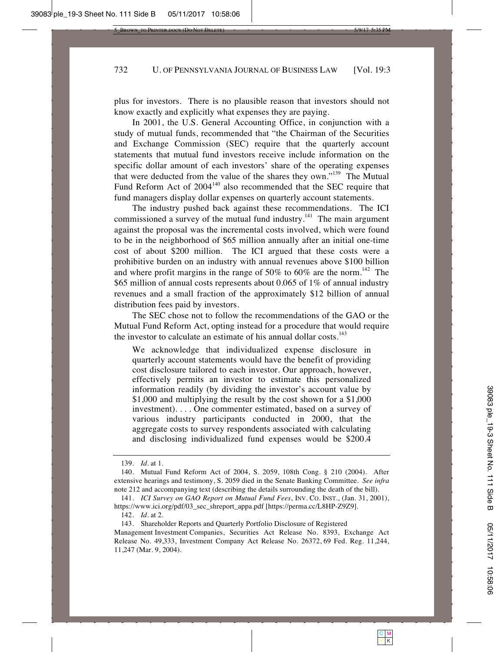## 732 U. OF PENNSYLVANIA JOURNAL OF BUSINESS LAW [Vol. 19:3

plus for investors. There is no plausible reason that investors should not know exactly and explicitly what expenses they are paying.

In 2001, the U.S. General Accounting Office, in conjunction with a study of mutual funds, recommended that "the Chairman of the Securities and Exchange Commission (SEC) require that the quarterly account statements that mutual fund investors receive include information on the specific dollar amount of each investors' share of the operating expenses that were deducted from the value of the shares they own."<sup>139</sup> The Mutual Fund Reform Act of  $2004<sup>140</sup>$  also recommended that the SEC require that fund managers display dollar expenses on quarterly account statements.

The industry pushed back against these recommendations. The ICI commissioned a survey of the mutual fund industry.<sup>141</sup> The main argument against the proposal was the incremental costs involved, which were found to be in the neighborhood of \$65 million annually after an initial one-time cost of about \$200 million. The ICI argued that these costs were a prohibitive burden on an industry with annual revenues above \$100 billion and where profit margins in the range of 50% to 60% are the norm.<sup>142</sup> The \$65 million of annual costs represents about 0.065 of 1% of annual industry revenues and a small fraction of the approximately \$12 billion of annual distribution fees paid by investors.

The SEC chose not to follow the recommendations of the GAO or the Mutual Fund Reform Act, opting instead for a procedure that would require the investor to calculate an estimate of his annual dollar costs. $143$ 

We acknowledge that individualized expense disclosure in quarterly account statements would have the benefit of providing cost disclosure tailored to each investor. Our approach, however, effectively permits an investor to estimate this personalized information readily (by dividing the investor's account value by \$1,000 and multiplying the result by the cost shown for a \$1,000 investment). . . . One commenter estimated, based on a survey of various industry participants conducted in 2000, that the aggregate costs to survey respondents associated with calculating and disclosing individualized fund expenses would be \$200.4

 <sup>139.</sup> *Id.* at 1.

 <sup>140.</sup> Mutual Fund Reform Act of 2004, S. 2059, 108th Cong. § 210 (2004). After extensive hearings and testimony, S. 2059 died in the Senate Banking Committee. *See infra* note 212 and accompanying text (describing the details surrounding the death of the bill).

 <sup>141.</sup> *ICI Survey on GAO Report on Mutual Fund Fees*, INV. CO. INST., (Jan. 31, 2001), https://www.ici.org/pdf/03\_sec\_shreport\_appa.pdf [https://perma.cc/L8HP-Z9Z9].

 <sup>142.</sup> *Id*. at 2.

 <sup>143.</sup> Shareholder Reports and Quarterly Portfolio Disclosure of Registered Management Investment Companies, Securities Act Release No. 8393, Exchange Act Release No. 49,333, Investment Company Act Release No. 26372, 69 Fed. Reg. 11,244, 11,247 (Mar. 9, 2004).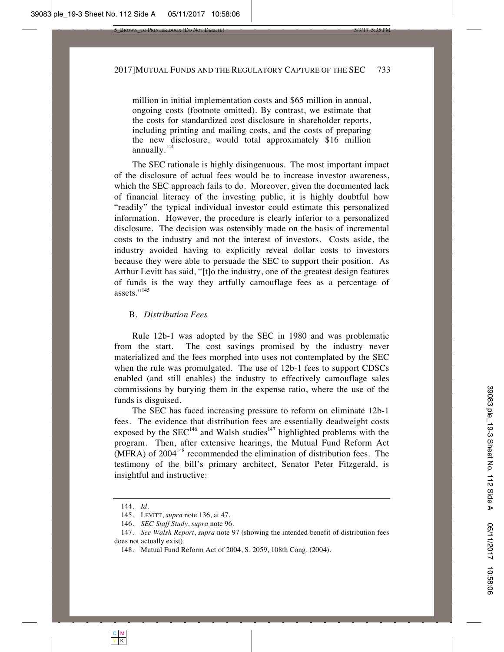# 2017]MUTUAL FUNDS AND THE REGULATORY CAPTURE OF THE SEC 733

million in initial implementation costs and \$65 million in annual, ongoing costs (footnote omitted). By contrast, we estimate that the costs for standardized cost disclosure in shareholder reports, including printing and mailing costs, and the costs of preparing the new disclosure, would total approximately \$16 million annually.<sup>144</sup>

The SEC rationale is highly disingenuous. The most important impact of the disclosure of actual fees would be to increase investor awareness, which the SEC approach fails to do. Moreover, given the documented lack of financial literacy of the investing public, it is highly doubtful how "readily" the typical individual investor could estimate this personalized information. However, the procedure is clearly inferior to a personalized disclosure. The decision was ostensibly made on the basis of incremental costs to the industry and not the interest of investors. Costs aside, the industry avoided having to explicitly reveal dollar costs to investors because they were able to persuade the SEC to support their position. As Arthur Levitt has said, "[t]o the industry, one of the greatest design features of funds is the way they artfully camouflage fees as a percentage of assets."<sup>145</sup>

## B. *Distribution Fees*

Rule 12b-1 was adopted by the SEC in 1980 and was problematic from the start. The cost savings promised by the industry never materialized and the fees morphed into uses not contemplated by the SEC when the rule was promulgated. The use of 12b-1 fees to support CDSCs enabled (and still enables) the industry to effectively camouflage sales commissions by burying them in the expense ratio, where the use of the funds is disguised.

The SEC has faced increasing pressure to reform on eliminate 12b-1 fees. The evidence that distribution fees are essentially deadweight costs exposed by the  $SEC<sup>146</sup>$  and Walsh studies<sup>147</sup> highlighted problems with the program. Then, after extensive hearings, the Mutual Fund Reform Act  $(MFRA)$  of 2004<sup>148</sup> recommended the elimination of distribution fees. The testimony of the bill's primary architect, Senator Peter Fitzgerald, is insightful and instructive:

 <sup>144.</sup> *Id.*

 <sup>145.</sup> LEVITT, *supra* note 136, at 47.

 <sup>146.</sup> *SEC Staff Study*, *supra* note 96.

 <sup>147.</sup> *See Walsh Report*, *supra* note 97 (showing the intended benefit of distribution fees does not actually exist).

 <sup>148.</sup> Mutual Fund Reform Act of 2004, S. 2059, 108th Cong. (2004).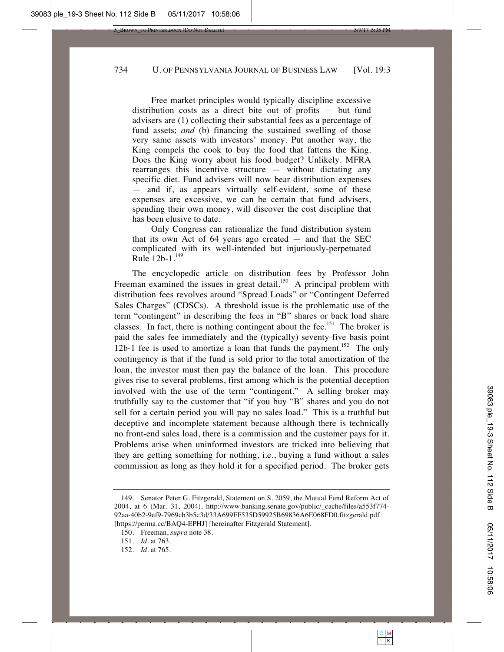# 734 U. OF PENNSYLVANIA JOURNAL OF BUSINESS LAW [Vol. 19:3

Free market principles would typically discipline excessive distribution costs as a direct bite out of profits — but fund advisers are (1) collecting their substantial fees as a percentage of fund assets; *and* (b) financing the sustained swelling of those very same assets with investors' money. Put another way, the King compels the cook to buy the food that fattens the King. Does the King worry about his food budget? Unlikely. MFRA rearranges this incentive structure — without dictating any specific diet. Fund advisers will now bear distribution expenses — and if, as appears virtually self-evident, some of these expenses are excessive, we can be certain that fund advisers, spending their own money, will discover the cost discipline that has been elusive to date.

Only Congress can rationalize the fund distribution system that its own Act of 64 years ago created — and that the SEC complicated with its well-intended but injuriously-perpetuated Rule  $12b-1.^{149}$ 

The encyclopedic article on distribution fees by Professor John Freeman examined the issues in great detail.<sup>150</sup> A principal problem with distribution fees revolves around "Spread Loads" or "Contingent Deferred Sales Charges" (CDSCs). A threshold issue is the problematic use of the term "contingent" in describing the fees in "B" shares or back load share classes. In fact, there is nothing contingent about the fee.<sup>151</sup> The broker is paid the sales fee immediately and the (typically) seventy-five basis point 12b-1 fee is used to amortize a loan that funds the payment.<sup>152</sup> The only contingency is that if the fund is sold prior to the total amortization of the loan, the investor must then pay the balance of the loan. This procedure gives rise to several problems, first among which is the potential deception involved with the use of the term "contingent." A selling broker may truthfully say to the customer that "if you buy "B" shares and you do not sell for a certain period you will pay no sales load." This is a truthful but deceptive and incomplete statement because although there is technically no front-end sales load, there is a commission and the customer pays for it. Problems arise when uninformed investors are tricked into believing that they are getting something for nothing, i.e., buying a fund without a sales commission as long as they hold it for a specified period. The broker gets

 <sup>149.</sup> Senator Peter G. Fitzgerald, Statement on S. 2059, the Mutual Fund Reform Act of 2004, at 6 (Mar. 31, 2004), http://www.banking.senate.gov/public/\_cache/files/a553f774- 92aa-40b2-9ef9-7969cb3b5c3d/33A699FF535D59925B69836A6E068FD0.fitzgerald.pdf [https://perma.cc/BAQ4-EPHJ] [hereinafter Fitzgerald Statement].

 <sup>150.</sup> Freeman, *supra* note 38.

 <sup>151.</sup> *Id.* at 763.

 <sup>152.</sup> *Id.* at 765.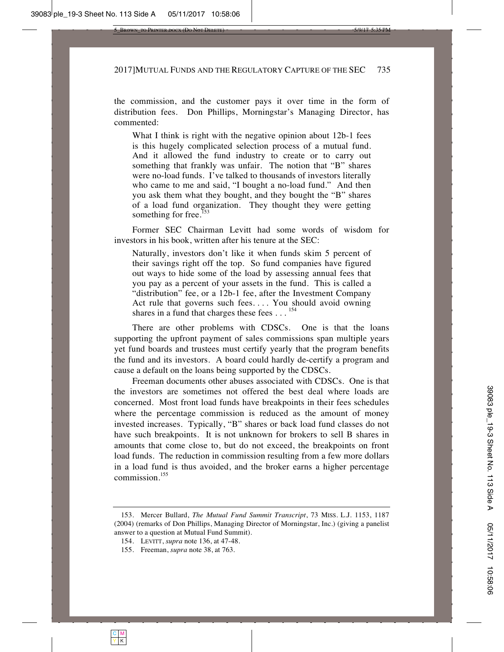the commission, and the customer pays it over time in the form of distribution fees. Don Phillips, Morningstar's Managing Director, has commented:

What I think is right with the negative opinion about 12b-1 fees is this hugely complicated selection process of a mutual fund. And it allowed the fund industry to create or to carry out something that frankly was unfair. The notion that "B" shares were no-load funds. I've talked to thousands of investors literally who came to me and said, "I bought a no-load fund." And then you ask them what they bought, and they bought the "B" shares of a load fund organization. They thought they were getting something for free.<sup>153</sup>

Former SEC Chairman Levitt had some words of wisdom for investors in his book, written after his tenure at the SEC:

Naturally, investors don't like it when funds skim 5 percent of their savings right off the top. So fund companies have figured out ways to hide some of the load by assessing annual fees that you pay as a percent of your assets in the fund. This is called a "distribution" fee, or a 12b-1 fee, after the Investment Company Act rule that governs such fees.... You should avoid owning shares in a fund that charges these fees . . . <sup>154</sup>

There are other problems with CDSCs. One is that the loans supporting the upfront payment of sales commissions span multiple years yet fund boards and trustees must certify yearly that the program benefits the fund and its investors. A board could hardly de-certify a program and cause a default on the loans being supported by the CDSCs.

Freeman documents other abuses associated with CDSCs. One is that the investors are sometimes not offered the best deal where loads are concerned. Most front load funds have breakpoints in their fees schedules where the percentage commission is reduced as the amount of money invested increases. Typically, "B" shares or back load fund classes do not have such breakpoints. It is not unknown for brokers to sell B shares in amounts that come close to, but do not exceed, the breakpoints on front load funds. The reduction in commission resulting from a few more dollars in a load fund is thus avoided, and the broker earns a higher percentage commission.<sup>155</sup>

 <sup>153.</sup> Mercer Bullard, *The Mutual Fund Summit Transcript*, 73 MISS. L.J. 1153, 1187 (2004) (remarks of Don Phillips, Managing Director of Morningstar, Inc.) (giving a panelist answer to a question at Mutual Fund Summit).

 <sup>154.</sup> LEVITT, *supra* note 136, at 47-48.

 <sup>155.</sup> Freeman, *supra* note 38, at 763.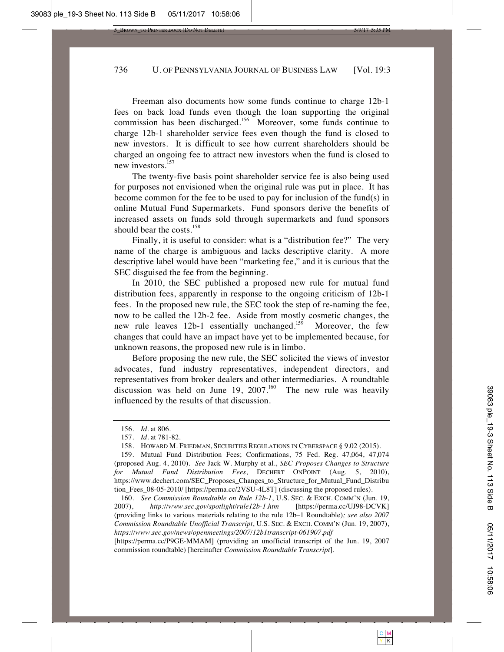# 736 U. OF PENNSYLVANIA JOURNAL OF BUSINESS LAW [Vol. 19:3

Freeman also documents how some funds continue to charge 12b-1 fees on back load funds even though the loan supporting the original commission has been discharged.<sup>156</sup> Moreover, some funds continue to charge 12b-1 shareholder service fees even though the fund is closed to new investors. It is difficult to see how current shareholders should be charged an ongoing fee to attract new investors when the fund is closed to new investors.<sup>157</sup>

The twenty-five basis point shareholder service fee is also being used for purposes not envisioned when the original rule was put in place. It has become common for the fee to be used to pay for inclusion of the fund(s) in online Mutual Fund Supermarkets. Fund sponsors derive the benefits of increased assets on funds sold through supermarkets and fund sponsors should bear the costs. $158$ 

Finally, it is useful to consider: what is a "distribution fee?" The very name of the charge is ambiguous and lacks descriptive clarity. A more descriptive label would have been "marketing fee," and it is curious that the SEC disguised the fee from the beginning.

In 2010, the SEC published a proposed new rule for mutual fund distribution fees, apparently in response to the ongoing criticism of 12b-1 fees. In the proposed new rule, the SEC took the step of re-naming the fee, now to be called the 12b-2 fee. Aside from mostly cosmetic changes, the new rule leaves 12b-1 essentially unchanged.<sup>159</sup> Moreover, the few changes that could have an impact have yet to be implemented because, for unknown reasons, the proposed new rule is in limbo.

Before proposing the new rule, the SEC solicited the views of investor advocates, fund industry representatives, independent directors, and representatives from broker dealers and other intermediaries. A roundtable discussion was held on June 19,  $2007<sup>160</sup>$  The new rule was heavily influenced by the results of that discussion.

[https://perma.cc/P9GE-MMAM] (providing an unofficial transcript of the Jun. 19, 2007 commission roundtable) [hereinafter *Commission Roundtable Transcript*].

C M Y | K

 <sup>156.</sup> *Id.* at 806.

 <sup>157.</sup> *Id.* at 781-82.

 <sup>158.</sup> HOWARD M. FRIEDMAN, SECURITIES REGULATIONS IN CYBERSPACE § 9.02 (2015).

 <sup>159.</sup> Mutual Fund Distribution Fees; Confirmations, 75 Fed. Reg. 47,064, 47,074 (proposed Aug. 4, 2010). *See* Jack W. Murphy et al., *SEC Proposes Changes to Structure for Mutual Fund Distribution Fees*, DECHERT ONPOINT (Aug. 5, 2010), https://www.dechert.com/SEC\_Proposes\_Changes\_to\_Structure\_for\_Mutual\_Fund\_Distribu tion\_Fees\_08-05-2010/ [https://perma.cc/2VSU-4L8T] (discussing the proposed rules).

 <sup>160.</sup> *See Commission Roundtable on Rule 12b-1*, U.S. SEC.&EXCH. COMM'N (Jun. 19, 2007), *http://www.sec.gov/spotlight/rule12b-1.htm* [https://perma.cc/UJ98-DCVK] (providing links to various materials relating to the rule 12b–1 Roundtable)*; see also 2007 Commission Roundtable Unofficial Transcript*, U.S. SEC.&EXCH. COMM'N (Jun. 19, 2007), *https://www.sec.gov/news/openmeetings/2007/12b1transcript-061907.pdf*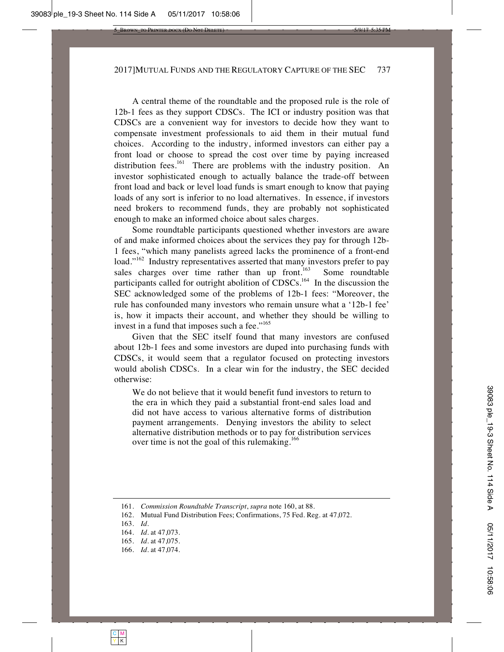# 2017]MUTUAL FUNDS AND THE REGULATORY CAPTURE OF THE SEC 737

A central theme of the roundtable and the proposed rule is the role of 12b-1 fees as they support CDSCs. The ICI or industry position was that CDSCs are a convenient way for investors to decide how they want to compensate investment professionals to aid them in their mutual fund choices. According to the industry, informed investors can either pay a front load or choose to spread the cost over time by paying increased distribution fees.<sup>161</sup> There are problems with the industry position. An investor sophisticated enough to actually balance the trade-off between front load and back or level load funds is smart enough to know that paying loads of any sort is inferior to no load alternatives. In essence, if investors need brokers to recommend funds, they are probably not sophisticated enough to make an informed choice about sales charges.

Some roundtable participants questioned whether investors are aware of and make informed choices about the services they pay for through 12b-1 fees, "which many panelists agreed lacks the prominence of a front-end load."<sup>162</sup> Industry representatives asserted that many investors prefer to pay sales charges over time rather than up front.<sup>163</sup> Some roundtable participants called for outright abolition of CDSCs.<sup>164</sup> In the discussion the SEC acknowledged some of the problems of 12b-1 fees: "Moreover, the rule has confounded many investors who remain unsure what a '12b-1 fee' is, how it impacts their account, and whether they should be willing to invest in a fund that imposes such a fee."<sup>165</sup>

Given that the SEC itself found that many investors are confused about 12b-1 fees and some investors are duped into purchasing funds with CDSCs, it would seem that a regulator focused on protecting investors would abolish CDSCs. In a clear win for the industry, the SEC decided otherwise:

We do not believe that it would benefit fund investors to return to the era in which they paid a substantial front-end sales load and did not have access to various alternative forms of distribution payment arrangements. Denying investors the ability to select alternative distribution methods or to pay for distribution services over time is not the goal of this rulemaking. $166$ 

 <sup>161.</sup> *Commission Roundtable Transcript*, *supra* note 160, at 88.

 <sup>162.</sup> Mutual Fund Distribution Fees; Confirmations, 75 Fed. Reg. at 47,072.

 <sup>163.</sup> *Id.*

 <sup>164.</sup> *Id.* at 47,073.

 <sup>165.</sup> *Id.* at 47,075.

 <sup>166.</sup> *Id.* at 47,074.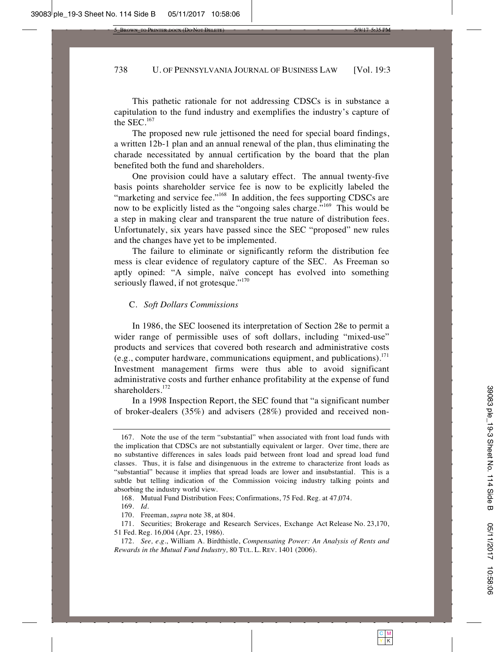# 738 U. OF PENNSYLVANIA JOURNAL OF BUSINESS LAW [Vol. 19:3

This pathetic rationale for not addressing CDSCs is in substance a capitulation to the fund industry and exemplifies the industry's capture of the  $SEC.$ <sup>167</sup>

The proposed new rule jettisoned the need for special board findings, a written 12b-1 plan and an annual renewal of the plan, thus eliminating the charade necessitated by annual certification by the board that the plan benefited both the fund and shareholders.

One provision could have a salutary effect. The annual twenty-five basis points shareholder service fee is now to be explicitly labeled the "marketing and service fee."<sup>168</sup> In addition, the fees supporting CDSCs are now to be explicitly listed as the "ongoing sales charge."<sup>169</sup> This would be a step in making clear and transparent the true nature of distribution fees. Unfortunately, six years have passed since the SEC "proposed" new rules and the changes have yet to be implemented.

The failure to eliminate or significantly reform the distribution fee mess is clear evidence of regulatory capture of the SEC. As Freeman so aptly opined: "A simple, naïve concept has evolved into something seriously flawed, if not grotesque."<sup>170</sup>

## C. *Soft Dollars Commissions*

In 1986, the SEC loosened its interpretation of Section 28e to permit a wider range of permissible uses of soft dollars, including "mixed-use" products and services that covered both research and administrative costs (e.g., computer hardware, communications equipment, and publications).<sup>171</sup> Investment management firms were thus able to avoid significant administrative costs and further enhance profitability at the expense of fund shareholders.<sup>172</sup>

In a 1998 Inspection Report, the SEC found that "a significant number of broker-dealers (35%) and advisers (28%) provided and received non-

 <sup>167.</sup> Note the use of the term "substantial" when associated with front load funds with the implication that CDSCs are not substantially equivalent or larger. Over time, there are no substantive differences in sales loads paid between front load and spread load fund classes. Thus, it is false and disingenuous in the extreme to characterize front loads as "substantial" because it implies that spread loads are lower and insubstantial. This is a subtle but telling indication of the Commission voicing industry talking points and absorbing the industry world view.

 <sup>168.</sup> Mutual Fund Distribution Fees; Confirmations, 75 Fed. Reg. at 47,074.

 <sup>169.</sup> *Id.*

 <sup>170.</sup> Freeman, *supra* note 38, at 804.

 <sup>171.</sup> Securities; Brokerage and Research Services, Exchange Act Release No. 23,170, 51 Fed. Reg. 16,004 (Apr. 23, 1986).

 <sup>172.</sup> *See, e.g.*, William A. Birdthistle, *Compensating Power: An Analysis of Rents and Rewards in the Mutual Fund Industry,* 80 TUL. L. REV. 1401 (2006).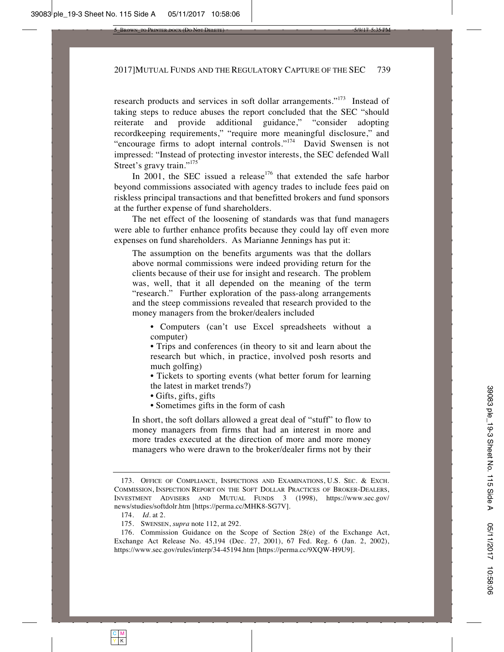# 2017]MUTUAL FUNDS AND THE REGULATORY CAPTURE OF THE SEC 739

research products and services in soft dollar arrangements."<sup>173</sup> Instead of taking steps to reduce abuses the report concluded that the SEC "should reiterate and provide additional guidance," "consider adopting recordkeeping requirements," "require more meaningful disclosure," and "encourage firms to adopt internal controls."174 David Swensen is not impressed: "Instead of protecting investor interests, the SEC defended Wall Street's gravy train."<sup>175</sup>

In 2001, the SEC issued a release<sup>176</sup> that extended the safe harbor beyond commissions associated with agency trades to include fees paid on riskless principal transactions and that benefitted brokers and fund sponsors at the further expense of fund shareholders.

The net effect of the loosening of standards was that fund managers were able to further enhance profits because they could lay off even more expenses on fund shareholders. As Marianne Jennings has put it:

 The assumption on the benefits arguments was that the dollars above normal commissions were indeed providing return for the clients because of their use for insight and research. The problem was, well, that it all depended on the meaning of the term "research." Further exploration of the pass-along arrangements and the steep commissions revealed that research provided to the money managers from the broker/dealers included

• Computers (can't use Excel spreadsheets without a computer)

• Trips and conferences (in theory to sit and learn about the research but which, in practice, involved posh resorts and much golfing)

• Tickets to sporting events (what better forum for learning the latest in market trends?)

- Gifts, gifts, gifts
- Sometimes gifts in the form of cash

In short, the soft dollars allowed a great deal of "stuff" to flow to money managers from firms that had an interest in more and more trades executed at the direction of more and more money managers who were drawn to the broker/dealer firms not by their



<sup>173.</sup> OFFICE OF COMPLIANCE, INSPECTIONS AND EXAMINATIONS, U.S. SEC. & EXCH. COMMISSION, INSPECTION REPORT ON THE SOFT DOLLAR PRACTICES OF BROKER-DEALERS, INVESTMENT ADVISERS AND MUTUAL FUNDS 3 (1998), https://www.sec.gov/ news/studies/softdolr.htm [https://perma.cc/MHK8-SG7V].

 <sup>174.</sup> *Id.* at 2.

 <sup>175.</sup> SWENSEN, *supra* note 112, at 292.

 <sup>176.</sup> Commission Guidance on the Scope of Section 28(e) of the Exchange Act, Exchange Act Release No. 45,194 (Dec. 27, 2001), 67 Fed. Reg. 6 (Jan. 2, 2002), https://www.sec.gov/rules/interp/34-45194.htm [https://perma.cc/9XQW-H9U9].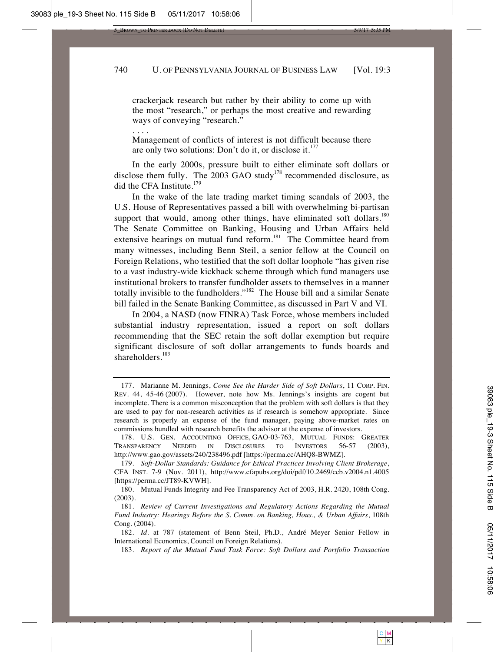. . . .

### 5\_BROWN\_TO PRINTER.DOCX (DO NOT DELETE)

# 740 U. OF PENNSYLVANIA JOURNAL OF BUSINESS LAW [Vol. 19:3

crackerjack research but rather by their ability to come up with the most "research," or perhaps the most creative and rewarding ways of conveying "research."

Management of conflicts of interest is not difficult because there are only two solutions: Don't do it, or disclose it. $^{177}$ 

In the early 2000s, pressure built to either eliminate soft dollars or disclose them fully. The 2003 GAO study<sup>178</sup> recommended disclosure, as did the CFA Institute.<sup>179</sup>

In the wake of the late trading market timing scandals of 2003, the U.S. House of Representatives passed a bill with overwhelming bi-partisan support that would, among other things, have eliminated soft dollars.<sup>180</sup> The Senate Committee on Banking, Housing and Urban Affairs held extensive hearings on mutual fund reform.<sup>181</sup> The Committee heard from many witnesses, including Benn Steil, a senior fellow at the Council on Foreign Relations, who testified that the soft dollar loophole "has given rise to a vast industry-wide kickback scheme through which fund managers use institutional brokers to transfer fundholder assets to themselves in a manner totally invisible to the fundholders."<sup>182</sup> The House bill and a similar Senate bill failed in the Senate Banking Committee, as discussed in Part V and VI.

In 2004, a NASD (now FINRA) Task Force, whose members included substantial industry representation, issued a report on soft dollars recommending that the SEC retain the soft dollar exemption but require significant disclosure of soft dollar arrangements to funds boards and shareholders.<sup>183</sup>

 <sup>177.</sup> Marianne M. Jennings, *Come See the Harder Side of Soft Dollars*, 11 CORP. FIN. REV. 44, 45-46 (2007). However, note how Ms. Jennings's insights are cogent but incomplete. There is a common misconception that the problem with soft dollars is that they are used to pay for non-research activities as if research is somehow appropriate. Since research is properly an expense of the fund manager, paying above-market rates on commissions bundled with research benefits the advisor at the expense of investors.

 <sup>178.</sup> U.S. GEN. ACCOUNTING OFFICE, GAO-03-763, MUTUAL FUNDS: GREATER TRANSPARENCY NEEDED IN DISCLOSURES TO INVESTORS 56-57 (2003), http://www.gao.gov/assets/240/238496.pdf [https://perma.cc/AHQ8-BWMZ].

 <sup>179.</sup> *Soft-Dollar Standards: Guidance for Ethical Practices Involving Client Brokerage*, CFA INST. 7-9 (Nov. 2011), http://www.cfapubs.org/doi/pdf/10.2469/ccb.v2004.n1.4005 [https://perma.cc/JT89-KVWH].

 <sup>180.</sup> Mutual Funds Integrity and Fee Transparency Act of 2003, H.R. 2420, 108th Cong. (2003).

 <sup>181.</sup> *Review of Current Investigations and Regulatory Actions Regarding the Mutual Fund Industry: Hearings Before the S. Comm. on Banking, Hous., & Urban Affairs*, 108th Cong. (2004).

 <sup>182.</sup> *Id.* at 787 (statement of Benn Steil, Ph.D., André Meyer Senior Fellow in International Economics, Council on Foreign Relations).

 <sup>183.</sup> *Report of the Mutual Fund Task Force: Soft Dollars and Portfolio Transaction*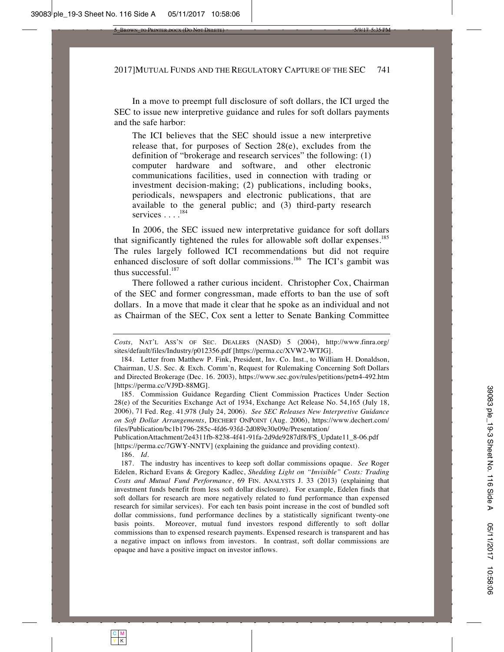In a move to preempt full disclosure of soft dollars, the ICI urged the SEC to issue new interpretive guidance and rules for soft dollars payments and the safe harbor:

The ICI believes that the SEC should issue a new interpretive release that, for purposes of Section 28(e), excludes from the definition of "brokerage and research services" the following: (1) computer hardware and software, and other electronic communications facilities, used in connection with trading or investment decision-making; (2) publications, including books, periodicals, newspapers and electronic publications, that are available to the general public; and (3) third-party research services  $\ldots$ <sup>184</sup>

In 2006, the SEC issued new interpretative guidance for soft dollars that significantly tightened the rules for allowable soft dollar expenses.<sup>185</sup> The rules largely followed ICI recommendations but did not require enhanced disclosure of soft dollar commissions.<sup>186</sup> The ICI's gambit was thus successful. $187$ 

There followed a rather curious incident. Christopher Cox, Chairman of the SEC and former congressman, made efforts to ban the use of soft dollars. In a move that made it clear that he spoke as an individual and not as Chairman of the SEC, Cox sent a letter to Senate Banking Committee

 185. Commission Guidance Regarding Client Commission Practices Under Section 28(e) of the Securities Exchange Act of 1934, Exchange Act Release No. 54,165 (July 18, 2006), 71 Fed. Reg. 41,978 (July 24, 2006). *See SEC Releases New Interpretive Guidance on Soft Dollar Arrangements*, DECHERT ONPOINT (Aug. 2006), https://www.dechert.com/ files/Publication/bc1b1796-285c-4fd6-93fd-2d089e30e09e/Presentation/

PublicationAttachment/2e4311fb-8238-4f41-91fa-2d9de9287df8/FS\_Update11\_8-06.pdf [https://perma.cc/7GWY-NNTV] (explaining the guidance and providing context).

186. *Id.*

 187. The industry has incentives to keep soft dollar commissions opaque. *See* Roger Edelen, Richard Evans & Gregory Kadlec, *Shedding Light on "Invisible" Costs: Trading Costs and Mutual Fund Performance*, 69 FIN. ANALYSTS J. 33 (2013) (explaining that investment funds benefit from less soft dollar disclosure). For example, Edelen finds that soft dollars for research are more negatively related to fund performance than expensed research for similar services). For each ten basis point increase in the cost of bundled soft dollar commissions, fund performance declines by a statistically significant twenty-one basis points. Moreover, mutual fund investors respond differently to soft dollar commissions than to expensed research payments. Expensed research is transparent and has a negative impact on inflows from investors. In contrast, soft dollar commissions are opaque and have a positive impact on investor inflows.

*Costs,* NAT'L ASS'N OF SEC. DEALERS (NASD) 5 (2004), http://www.finra.org/ sites/default/files/Industry/p012356.pdf [https://perma.cc/XVW2-WTJG].

 <sup>184.</sup> Letter from Matthew P. Fink, President, Inv. Co. Inst., to William H. Donaldson, Chairman, U.S. Sec. & Exch. Comm'n, Request for Rulemaking Concerning Soft Dollars and Directed Brokerage (Dec. 16. 2003), https://www.sec.gov/rules/petitions/petn4-492.htm [https://perma.cc/VJ9D-88MG].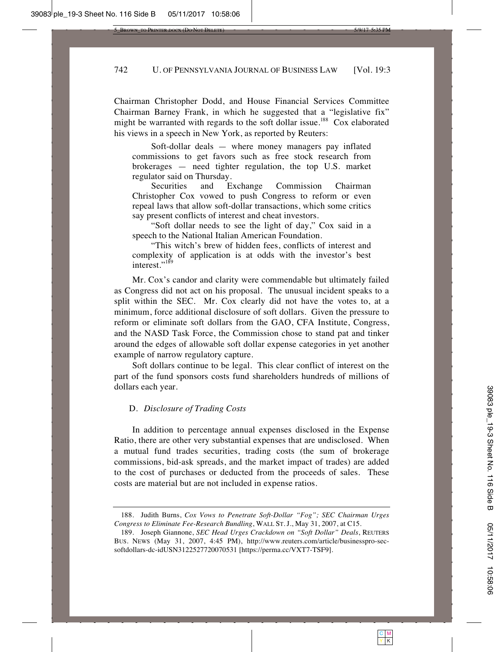# 742 U. OF PENNSYLVANIA JOURNAL OF BUSINESS LAW [Vol. 19:3

Chairman Christopher Dodd, and House Financial Services Committee Chairman Barney Frank, in which he suggested that a "legislative fix" might be warranted with regards to the soft dollar issue.<sup>188</sup> Cox elaborated his views in a speech in New York, as reported by Reuters:

Soft-dollar deals — where money managers pay inflated commissions to get favors such as free stock research from brokerages — need tighter regulation, the top U.S. market regulator said on Thursday.

Securities and Exchange Commission Chairman Christopher Cox vowed to push Congress to reform or even repeal laws that allow soft-dollar transactions, which some critics say present conflicts of interest and cheat investors.

"Soft dollar needs to see the light of day," Cox said in a speech to the National Italian American Foundation.

"This witch's brew of hidden fees, conflicts of interest and complexity of application is at odds with the investor's best interest."<sup>189</sup>

Mr. Cox's candor and clarity were commendable but ultimately failed as Congress did not act on his proposal. The unusual incident speaks to a split within the SEC. Mr. Cox clearly did not have the votes to, at a minimum, force additional disclosure of soft dollars. Given the pressure to reform or eliminate soft dollars from the GAO, CFA Institute, Congress, and the NASD Task Force, the Commission chose to stand pat and tinker around the edges of allowable soft dollar expense categories in yet another example of narrow regulatory capture.

Soft dollars continue to be legal. This clear conflict of interest on the part of the fund sponsors costs fund shareholders hundreds of millions of dollars each year.

## D. *Disclosure of Trading Costs*

In addition to percentage annual expenses disclosed in the Expense Ratio, there are other very substantial expenses that are undisclosed. When a mutual fund trades securities, trading costs (the sum of brokerage commissions, bid-ask spreads, and the market impact of trades) are added to the cost of purchases or deducted from the proceeds of sales. These costs are material but are not included in expense ratios.

 <sup>188.</sup> Judith Burns, *Cox Vows to Penetrate Soft-Dollar "Fog"; SEC Chairman Urges Congress to Eliminate Fee-Research Bundling*, WALL ST. J., May 31, 2007, at C15.

 <sup>189.</sup> Joseph Giannone, *SEC Head Urges Crackdown on "Soft Dollar" Deals*, REUTERS BUS. NEWS (May 31, 2007, 4:45 PM), http://www.reuters.com/article/businesspro-secsoftdollars-dc-idUSN3122527720070531 [https://perma.cc/VXT7-TSF9].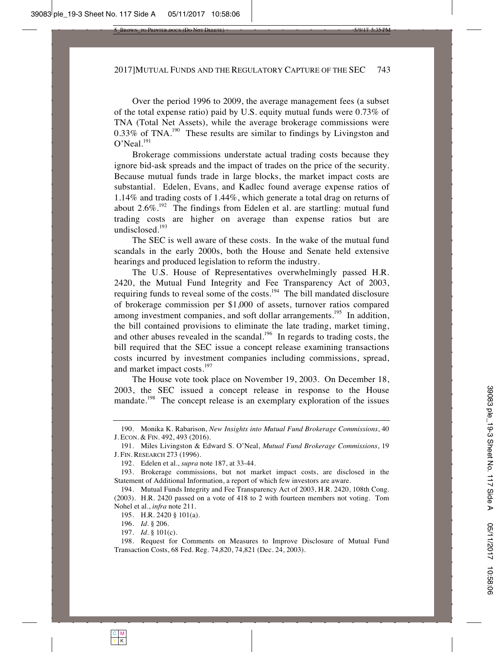# 2017]MUTUAL FUNDS AND THE REGULATORY CAPTURE OF THE SEC 743

Over the period 1996 to 2009, the average management fees (a subset of the total expense ratio) paid by U.S. equity mutual funds were 0.73% of TNA (Total Net Assets), while the average brokerage commissions were  $0.33\%$  of TNA.<sup>190</sup> These results are similar to findings by Livingston and  $O'Neal.<sup>191</sup>$ 

Brokerage commissions understate actual trading costs because they ignore bid-ask spreads and the impact of trades on the price of the security. Because mutual funds trade in large blocks, the market impact costs are substantial. Edelen, Evans, and Kadlec found average expense ratios of 1.14% and trading costs of 1.44%, which generate a total drag on returns of about  $2.6\%$ <sup>192</sup> The findings from Edelen et al. are startling: mutual fund trading costs are higher on average than expense ratios but are undisclosed.<sup>193</sup>

The SEC is well aware of these costs. In the wake of the mutual fund scandals in the early 2000s, both the House and Senate held extensive hearings and produced legislation to reform the industry.

The U.S. House of Representatives overwhelmingly passed H.R. 2420, the Mutual Fund Integrity and Fee Transparency Act of 2003, requiring funds to reveal some of the costs.<sup>194</sup> The bill mandated disclosure of brokerage commission per \$1,000 of assets, turnover ratios compared among investment companies, and soft dollar arrangements.<sup>195</sup> In addition, the bill contained provisions to eliminate the late trading, market timing, and other abuses revealed in the scandal.<sup>196</sup> In regards to trading costs, the bill required that the SEC issue a concept release examining transactions costs incurred by investment companies including commissions, spread, and market impact costs.<sup>197</sup>

The House vote took place on November 19, 2003. On December 18, 2003, the SEC issued a concept release in response to the House mandate.<sup>198</sup> The concept release is an exemplary exploration of the issues

C M Y | K

 <sup>190.</sup> Monika K. Rabarison, *New Insights into Mutual Fund Brokerage Commissions*, 40 J. ECON.&FIN. 492, 493 (2016).

 <sup>191.</sup> Miles Livingston & Edward S. O'Neal, *Mutual Fund Brokerage Commissions*, 19 J. FIN. RESEARCH 273 (1996).

 <sup>192.</sup> Edelen et al., *supra* note 187, at 33-44.

 <sup>193.</sup> Brokerage commissions, but not market impact costs, are disclosed in the Statement of Additional Information, a report of which few investors are aware.

 <sup>194.</sup> Mutual Funds Integrity and Fee Transparency Act of 2003, H.R. 2420, 108th Cong. (2003). H.R. 2420 passed on a vote of 418 to 2 with fourteen members not voting. Tom Nohel et al., *infra* note 211.

 <sup>195.</sup> H.R. 2420 § 101(a).

 <sup>196.</sup> *Id.* § 206.

 <sup>197.</sup> *Id.* § 101(c).

 <sup>198.</sup> Request for Comments on Measures to Improve Disclosure of Mutual Fund Transaction Costs, 68 Fed. Reg. 74,820, 74,821 (Dec. 24, 2003).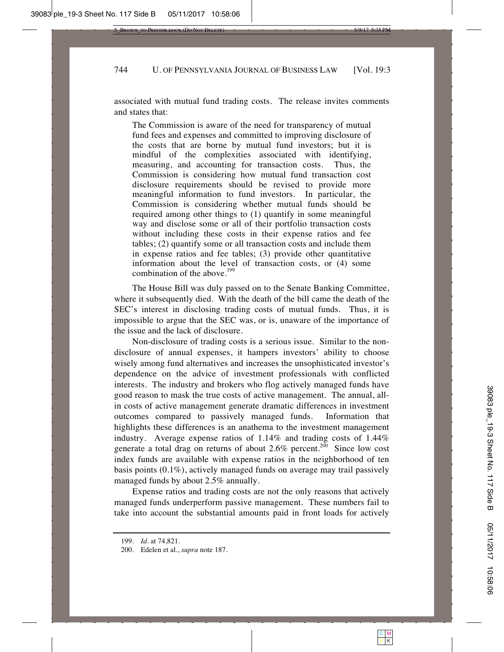# 744 U. OF PENNSYLVANIA JOURNAL OF BUSINESS LAW [Vol. 19:3

associated with mutual fund trading costs. The release invites comments and states that:

The Commission is aware of the need for transparency of mutual fund fees and expenses and committed to improving disclosure of the costs that are borne by mutual fund investors; but it is mindful of the complexities associated with identifying, measuring, and accounting for transaction costs. Thus, the Commission is considering how mutual fund transaction cost disclosure requirements should be revised to provide more meaningful information to fund investors. In particular, the Commission is considering whether mutual funds should be required among other things to (1) quantify in some meaningful way and disclose some or all of their portfolio transaction costs without including these costs in their expense ratios and fee tables; (2) quantify some or all transaction costs and include them in expense ratios and fee tables; (3) provide other quantitative information about the level of transaction costs, or (4) some combination of the above.<sup>199</sup>

The House Bill was duly passed on to the Senate Banking Committee, where it subsequently died. With the death of the bill came the death of the SEC's interest in disclosing trading costs of mutual funds. Thus, it is impossible to argue that the SEC was, or is, unaware of the importance of the issue and the lack of disclosure.

Non-disclosure of trading costs is a serious issue. Similar to the nondisclosure of annual expenses, it hampers investors' ability to choose wisely among fund alternatives and increases the unsophisticated investor's dependence on the advice of investment professionals with conflicted interests. The industry and brokers who flog actively managed funds have good reason to mask the true costs of active management. The annual, allin costs of active management generate dramatic differences in investment outcomes compared to passively managed funds. Information that highlights these differences is an anathema to the investment management industry. Average expense ratios of 1.14% and trading costs of 1.44% generate a total drag on returns of about  $2.6\%$  percent.<sup>200</sup> Since low cost index funds are available with expense ratios in the neighborhood of ten basis points (0.1%), actively managed funds on average may trail passively managed funds by about 2.5% annually.

Expense ratios and trading costs are not the only reasons that actively managed funds underperform passive management. These numbers fail to take into account the substantial amounts paid in front loads for actively

 <sup>199.</sup> *Id.* at 74,821.

 <sup>200.</sup> Edelen et al., *supra* note 187.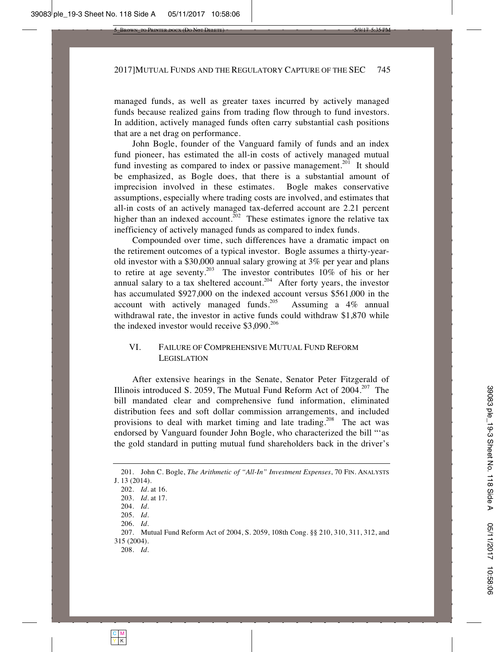## 2017]MUTUAL FUNDS AND THE REGULATORY CAPTURE OF THE SEC 745

managed funds, as well as greater taxes incurred by actively managed funds because realized gains from trading flow through to fund investors. In addition, actively managed funds often carry substantial cash positions that are a net drag on performance.

John Bogle, founder of the Vanguard family of funds and an index fund pioneer, has estimated the all-in costs of actively managed mutual fund investing as compared to index or passive management.<sup>201</sup> It should be emphasized, as Bogle does, that there is a substantial amount of imprecision involved in these estimates. Bogle makes conservative assumptions, especially where trading costs are involved, and estimates that all-in costs of an actively managed tax-deferred account are 2.21 percent higher than an indexed account.<sup>202</sup> These estimates ignore the relative tax inefficiency of actively managed funds as compared to index funds.

Compounded over time, such differences have a dramatic impact on the retirement outcomes of a typical investor. Bogle assumes a thirty-yearold investor with a \$30,000 annual salary growing at 3% per year and plans to retire at age seventy.<sup>203</sup> The investor contributes  $10\%$  of his or her annual salary to a tax sheltered account.<sup>204</sup> After forty years, the investor has accumulated \$927,000 on the indexed account versus \$561,000 in the account with actively managed funds.<sup>205</sup> Assuming a  $4\%$  annual withdrawal rate, the investor in active funds could withdraw \$1,870 while the indexed investor would receive  $$3,090.^{206}$ 

# VI. FAILURE OF COMPREHENSIVE MUTUAL FUND REFORM LEGISLATION

After extensive hearings in the Senate, Senator Peter Fitzgerald of Illinois introduced S. 2059, The Mutual Fund Reform Act of  $2004$ <sup>207</sup> The bill mandated clear and comprehensive fund information, eliminated distribution fees and soft dollar commission arrangements, and included provisions to deal with market timing and late trading.<sup>208</sup> The act was endorsed by Vanguard founder John Bogle, who characterized the bill "'as the gold standard in putting mutual fund shareholders back in the driver's

 <sup>201.</sup> John C. Bogle, *The Arithmetic of "All-In" Investment Expenses*, 70 FIN. ANALYSTS J. 13 (2014).

 <sup>202.</sup> *Id.* at 16.

 <sup>203.</sup> *Id.* at 17.

 <sup>204.</sup> *Id.*

 <sup>205.</sup> *Id.*

 <sup>206.</sup> *Id.*

 <sup>207.</sup> Mutual Fund Reform Act of 2004, S. 2059, 108th Cong. §§ 210, 310, 311, 312, and 315 (2004).

 <sup>208.</sup> *Id.*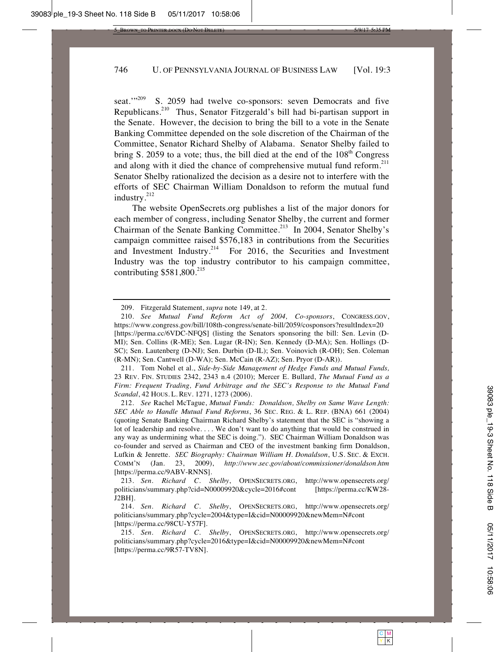# 746 U. OF PENNSYLVANIA JOURNAL OF BUSINESS LAW [Vol. 19:3

seat."<sup>209</sup> S. 2059 had twelve co-sponsors: seven Democrats and five Republicans.210 Thus, Senator Fitzgerald's bill had bi-partisan support in the Senate. However, the decision to bring the bill to a vote in the Senate Banking Committee depended on the sole discretion of the Chairman of the Committee, Senator Richard Shelby of Alabama. Senator Shelby failed to bring S. 2059 to a vote; thus, the bill died at the end of the  $108<sup>th</sup>$  Congress and along with it died the chance of comprehensive mutual fund reform. $211$ Senator Shelby rationalized the decision as a desire not to interfere with the efforts of SEC Chairman William Donaldson to reform the mutual fund industry.<sup>212</sup>

The website OpenSecrets.org publishes a list of the major donors for each member of congress, including Senator Shelby, the current and former Chairman of the Senate Banking Committee.<sup>213</sup> In 2004, Senator Shelby's campaign committee raised \$576,183 in contributions from the Securities and Investment Industry.<sup>214</sup> For 2016, the Securities and Investment Industry was the top industry contributor to his campaign committee, contributing  $$581,800.<sup>215</sup>$ 

 211. Tom Nohel et al., *Side-by-Side Management of Hedge Funds and Mutual Funds,*  23 REV. FIN. STUDIES 2342, 2343 n.4 (2010); Mercer E. Bullard, *The Mutual Fund as a Firm: Frequent Trading, Fund Arbitrage and the SEC's Response to the Mutual Fund Scandal*, 42 HOUS. L. REV. 1271, 1273 (2006).

 212. *See* Rachel McTague, *Mutual Funds: Donaldson, Shelby on Same Wave Length: SEC Able to Handle Mutual Fund Reforms*, 36 SEC. REG. & L. REP. (BNA) 661 (2004) (quoting Senate Banking Chairman Richard Shelby's statement that the SEC is "showing a lot of leadership and resolve. . . . We don't want to do anything that would be construed in any way as undermining what the SEC is doing."). SEC Chairman William Donaldson was co-founder and served as Chairman and CEO of the investment banking firm Donaldson, Lufkin & Jenrette. *SEC Biography: Chairman William H. Donaldson*, U.S. SEC.&EXCH. COMM'N (Jan. 23, 2009), *http://www.sec.gov/about/commissioner/donaldson.htm* [https://perma.cc/9ABV-RNNS]*.*

 213. *Sen. Richard C. Shelby*, OPENSECRETS.ORG, http://www.opensecrets.org/ politicians/summary.php?cid=N00009920&cycle=2016#cont [https://perma.cc/KW28- J2BH].

 <sup>209.</sup> Fitzgerald Statement, *supra* note 149, at 2.

 <sup>210.</sup> *See Mutual Fund Reform Act of 2004, Co-sponsors*, CONGRESS.GOV, https://www.congress.gov/bill/108th-congress/senate-bill/2059/cosponsors?resultIndex=20 [https://perma.cc/6VDC-NFQS] (listing the Senators sponsoring the bill: Sen. Levin (D-MI); Sen. Collins (R-ME); Sen. Lugar (R-IN); Sen. Kennedy (D-MA); Sen. Hollings (D-SC); Sen. Lautenberg (D-NJ); Sen. Durbin (D-IL); Sen. Voinovich (R-OH); Sen. Coleman (R-MN); Sen. Cantwell (D-WA); Sen. McCain (R-AZ); Sen. Pryor (D-AR)).

 <sup>214.</sup> *Sen. Richard C. Shelby*, OPENSECRETS.ORG, http://www.opensecrets.org/ politicians/summary.php?cycle=2004&type=I&cid=N00009920&newMem=N#cont [https://perma.cc/98CU-Y57F].

 <sup>215.</sup> *Sen. Richard C. Shelby*, OPENSECRETS.ORG, http://www.opensecrets.org/ politicians/summary.php?cycle=2016&type=I&cid=N00009920&newMem=N#cont [https://perma.cc/9R57-TV8N].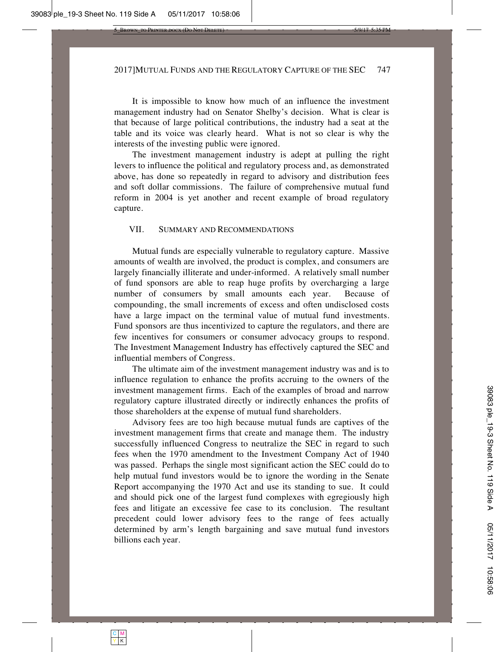# 2017]MUTUAL FUNDS AND THE REGULATORY CAPTURE OF THE SEC 747

It is impossible to know how much of an influence the investment management industry had on Senator Shelby's decision. What is clear is that because of large political contributions, the industry had a seat at the table and its voice was clearly heard. What is not so clear is why the interests of the investing public were ignored.

The investment management industry is adept at pulling the right levers to influence the political and regulatory process and, as demonstrated above, has done so repeatedly in regard to advisory and distribution fees and soft dollar commissions. The failure of comprehensive mutual fund reform in 2004 is yet another and recent example of broad regulatory capture.

## VII. SUMMARY AND RECOMMENDATIONS

Mutual funds are especially vulnerable to regulatory capture. Massive amounts of wealth are involved, the product is complex, and consumers are largely financially illiterate and under-informed. A relatively small number of fund sponsors are able to reap huge profits by overcharging a large number of consumers by small amounts each year. Because of compounding, the small increments of excess and often undisclosed costs have a large impact on the terminal value of mutual fund investments. Fund sponsors are thus incentivized to capture the regulators, and there are few incentives for consumers or consumer advocacy groups to respond. The Investment Management Industry has effectively captured the SEC and influential members of Congress.

The ultimate aim of the investment management industry was and is to influence regulation to enhance the profits accruing to the owners of the investment management firms. Each of the examples of broad and narrow regulatory capture illustrated directly or indirectly enhances the profits of those shareholders at the expense of mutual fund shareholders.

Advisory fees are too high because mutual funds are captives of the investment management firms that create and manage them. The industry successfully influenced Congress to neutralize the SEC in regard to such fees when the 1970 amendment to the Investment Company Act of 1940 was passed. Perhaps the single most significant action the SEC could do to help mutual fund investors would be to ignore the wording in the Senate Report accompanying the 1970 Act and use its standing to sue. It could and should pick one of the largest fund complexes with egregiously high fees and litigate an excessive fee case to its conclusion. The resultant precedent could lower advisory fees to the range of fees actually determined by arm's length bargaining and save mutual fund investors billions each year.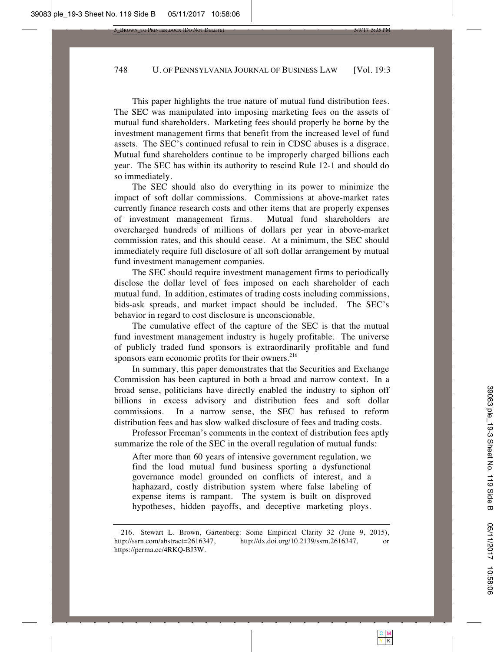# 748 U. OF PENNSYLVANIA JOURNAL OF BUSINESS LAW [Vol. 19:3

This paper highlights the true nature of mutual fund distribution fees. The SEC was manipulated into imposing marketing fees on the assets of mutual fund shareholders. Marketing fees should properly be borne by the investment management firms that benefit from the increased level of fund assets. The SEC's continued refusal to rein in CDSC abuses is a disgrace. Mutual fund shareholders continue to be improperly charged billions each year. The SEC has within its authority to rescind Rule 12-1 and should do so immediately.

The SEC should also do everything in its power to minimize the impact of soft dollar commissions. Commissions at above-market rates currently finance research costs and other items that are properly expenses of investment management firms. Mutual fund shareholders are overcharged hundreds of millions of dollars per year in above-market commission rates, and this should cease. At a minimum, the SEC should immediately require full disclosure of all soft dollar arrangement by mutual fund investment management companies.

The SEC should require investment management firms to periodically disclose the dollar level of fees imposed on each shareholder of each mutual fund. In addition, estimates of trading costs including commissions, bids-ask spreads, and market impact should be included. The SEC's behavior in regard to cost disclosure is unconscionable.

The cumulative effect of the capture of the SEC is that the mutual fund investment management industry is hugely profitable. The universe of publicly traded fund sponsors is extraordinarily profitable and fund sponsors earn economic profits for their owners. $216$ 

In summary, this paper demonstrates that the Securities and Exchange Commission has been captured in both a broad and narrow context. In a broad sense, politicians have directly enabled the industry to siphon off billions in excess advisory and distribution fees and soft dollar commissions. In a narrow sense, the SEC has refused to reform distribution fees and has slow walked disclosure of fees and trading costs.

Professor Freeman's comments in the context of distribution fees aptly summarize the role of the SEC in the overall regulation of mutual funds:

After more than 60 years of intensive government regulation, we find the load mutual fund business sporting a dysfunctional governance model grounded on conflicts of interest, and a haphazard, costly distribution system where false labeling of expense items is rampant. The system is built on disproved hypotheses, hidden payoffs, and deceptive marketing ploys.

C M Y | K

 <sup>216.</sup> Stewart L. Brown, Gartenberg: Some Empirical Clarity 32 (June 9, 2015), http://ssrn.com/abstract=2616347, http://dx.doi.org/10.2139/ssrn.2616347, or https://perma.cc/4RKQ-BJ3W.